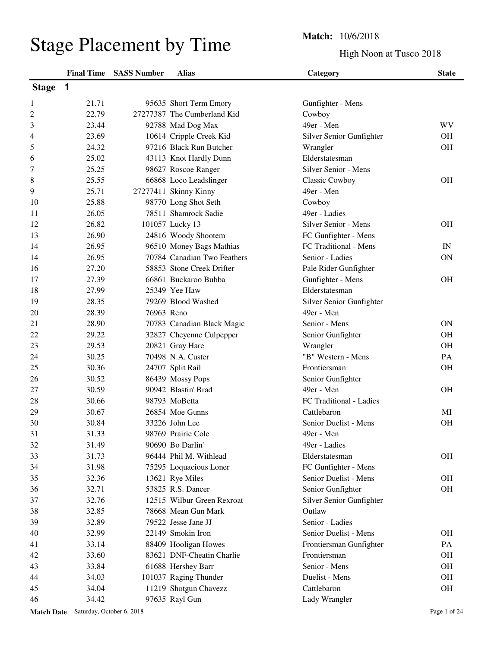|                                | <b>Match:</b> 10/6/2018 |
|--------------------------------|-------------------------|
| <b>Stage Placement by Time</b> | High Noo                |

High Noon at Tusco 2018

|                |       | <b>Final Time SASS Number</b> | <b>Alias</b>                | Category                 | <b>State</b> |
|----------------|-------|-------------------------------|-----------------------------|--------------------------|--------------|
| <b>Stage</b>   | 1     |                               |                             |                          |              |
| 1              | 21.71 |                               | 95635 Short Term Emory      | Gunfighter - Mens        |              |
| $\overline{c}$ | 22.79 |                               | 27277387 The Cumberland Kid | Cowboy                   |              |
| 3              | 23.44 |                               | 92788 Mad Dog Max           | 49er - Men               | WV           |
| 4              | 23.69 |                               | 10614 Cripple Creek Kid     | Silver Senior Gunfighter | <b>OH</b>    |
| 5              | 24.32 |                               | 97216 Black Run Butcher     | Wrangler                 | <b>OH</b>    |
| 6              | 25.02 |                               | 43113 Knot Hardly Dunn      | Elderstatesman           |              |
| 7              | 25.25 |                               | 98627 Roscoe Ranger         | Silver Senior - Mens     |              |
| $\,8\,$        | 25.55 |                               | 66868 Loco Leadslinger      | <b>Classic Cowboy</b>    | <b>OH</b>    |
| 9              | 25.71 |                               | 27277411 Skinny Kinny       | 49er - Men               |              |
| 10             | 25.88 |                               | 98770 Long Shot Seth        | Cowboy                   |              |
| 11             | 26.05 |                               | 78511 Shamrock Sadie        | 49er - Ladies            |              |
| 12             | 26.82 |                               | 101057 Lucky 13             | Silver Senior - Mens     | <b>OH</b>    |
| 13             | 26.90 |                               | 24816 Woody Shootem         | FC Gunfighter - Mens     |              |
| 14             | 26.95 |                               | 96510 Money Bags Mathias    | FC Traditional - Mens    | IN           |
| 14             | 26.95 |                               | 70784 Canadian Two Feathers | Senior - Ladies          | <b>ON</b>    |
| 16             | 27.20 |                               | 58853 Stone Creek Drifter   | Pale Rider Gunfighter    |              |
| 17             | 27.39 |                               | 66861 Buckaroo Bubba        | Gunfighter - Mens        | <b>OH</b>    |
| 18             | 27.99 |                               | 25349 Yee Haw               | Elderstatesman           |              |
| 19             | 28.35 |                               | 79269 Blood Washed          | Silver Senior Gunfighter |              |
| 20             | 28.39 | 76963 Reno                    |                             | 49er - Men               |              |
| 21             | 28.90 |                               | 70783 Canadian Black Magic  | Senior - Mens            | ON           |
| 22             | 29.22 |                               | 32827 Cheyenne Culpepper    | Senior Gunfighter        | <b>OH</b>    |
| 23             | 29.53 |                               | 20821 Gray Hare             | Wrangler                 | <b>OH</b>    |
| 24             | 30.25 |                               | 70498 N.A. Custer           | "B" Western - Mens       | PA           |
| 25             | 30.36 |                               | 24707 Split Rail            | Frontiersman             | <b>OH</b>    |
| 26             | 30.52 |                               | 86439 Mossy Pops            | Senior Gunfighter        |              |
| 27             | 30.59 |                               | 90942 Blastin' Brad         | 49er - Men               | <b>OH</b>    |
| 28             | 30.66 |                               | 98793 MoBetta               | FC Traditional - Ladies  |              |
| 29             | 30.67 |                               | 26854 Moe Gunns             | Cattlebaron              | MI           |
| 30             | 30.84 |                               | 33226 John Lee              | Senior Duelist - Mens    | <b>OH</b>    |
| 31             | 31.33 |                               | 98769 Prairie Cole          | 49er - Men               |              |
| 32             | 31.49 |                               | 90690 Bo Darlin'            | 49er - Ladies            |              |
| 33             | 31.73 |                               | 96444 Phil M. Withlead      | Elderstatesman           | <b>OH</b>    |
| 34             | 31.98 |                               | 75295 Loquacious Loner      | FC Gunfighter - Mens     |              |
| 35             | 32.36 |                               | 13621 Rye Miles             | Senior Duelist - Mens    | OH           |
| 36             | 32.71 |                               | 53825 R.S. Dancer           | Senior Gunfighter        | OH           |
| 37             | 32.76 |                               | 12515 Wilbur Green Rexroat  | Silver Senior Gunfighter |              |
| 38             | 32.85 |                               | 78668 Mean Gun Mark         | Outlaw                   |              |
| 39             | 32.89 |                               | 79522 Jesse Jane JJ         | Senior - Ladies          |              |
| 40             | 32.99 |                               | 22149 Smokin Iron           | Senior Duelist - Mens    | <b>OH</b>    |
| 41             | 33.14 |                               | 88409 Hooligan Howes        | Frontiersman Gunfighter  | PA           |
| 42             | 33.60 |                               | 83621 DNF-Cheatin Charlie   | Frontiersman             | <b>OH</b>    |
| 43             | 33.84 |                               | 61688 Hershey Barr          | Senior - Mens            | OH           |
| 44             | 34.03 |                               | 101037 Raging Thunder       | Duelist - Mens           | <b>OH</b>    |
| 45             | 34.04 |                               | 11219 Shotgun Chavezz       | Cattlebaron              | <b>OH</b>    |
| 46             | 34.42 |                               | 97635 Rayl Gun              | Lady Wrangler            |              |

Match Date Saturday, October 6, 2018 **Page 1** of 24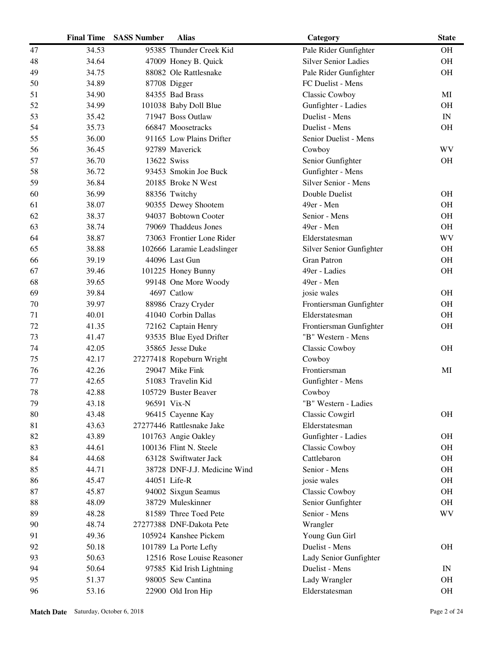| 34.53<br>95385 Thunder Creek Kid<br><b>OH</b><br>47<br>Pale Rider Gunfighter<br>48<br>34.64<br>47009 Honey B. Quick<br><b>Silver Senior Ladies</b><br><b>OH</b><br>49<br>34.75<br>88082 Ole Rattlesnake<br>Pale Rider Gunfighter<br><b>OH</b><br>34.89<br>87708 Digger<br>FC Duelist - Mens<br>50<br>51<br>34.90<br>84355 Bad Brass<br>Classic Cowboy<br>MI<br>52<br>34.99<br>101038 Baby Doll Blue<br>Gunfighter - Ladies<br><b>OH</b><br>71947 Boss Outlaw<br>Duelist - Mens<br>53<br>35.42<br>$\ensuremath{\text{IN}}$<br>35.73<br>66847 Moosetracks<br>Duelist - Mens<br><b>OH</b><br>54<br>55<br>36.00<br>91165 Low Plains Drifter<br>Senior Duelist - Mens<br><b>WV</b><br>56<br>36.45<br>92789 Maverick<br>Cowboy<br>36.70<br>57<br>13622 Swiss<br>Senior Gunfighter<br><b>OH</b><br>Gunfighter - Mens<br>58<br>36.72<br>93453 Smokin Joe Buck<br>Silver Senior - Mens<br>59<br>36.84<br>20185 Broke N West<br>36.99<br>60<br>88356 Twitchy<br>Double Duelist<br><b>OH</b><br>38.07<br>49er - Men<br><b>OH</b><br>61<br>90355 Dewey Shootem<br>38.37<br>94037 Bobtown Cooter<br>Senior - Mens<br><b>OH</b><br>62<br>63<br>38.74<br>79069 Thaddeus Jones<br>49er - Men<br><b>OH</b><br><b>WV</b><br>64<br>38.87<br>73063 Frontier Lone Rider<br>Elderstatesman<br>65<br>38.88<br>102666 Laramie Leadslinger<br>Silver Senior Gunfighter<br><b>OH</b><br><b>Gran Patron</b><br>39.19<br>44096 Last Gun<br><b>OH</b><br>66<br>67<br>39.46<br>49er - Ladies<br><b>OH</b><br>101225 Honey Bunny<br>49er - Men<br>68<br>39.65<br>99148 One More Woody<br>69<br>39.84<br>4697 Catlow<br><b>OH</b><br>josie wales<br>39.97<br>88986 Crazy Cryder<br>Frontiersman Gunfighter<br><b>OH</b><br>70<br>40.01<br>41040 Corbin Dallas<br><b>OH</b><br>71<br>Elderstatesman<br>OH<br>72<br>41.35<br>72162 Captain Henry<br>Frontiersman Gunfighter<br>73<br>41.47<br>93535 Blue Eyed Drifter<br>"B" Western - Mens<br>35865 Jesse Duke<br>42.05<br>Classic Cowboy<br><b>OH</b><br>74<br>42.17<br>75<br>27277418 Ropeburn Wright<br>Cowboy<br>Frontiersman<br>42.26<br>29047 Mike Fink<br>76<br>MI<br>42.65<br>51083 Travelin Kid<br>Gunfighter - Mens<br>77<br>78<br>42.88<br>105729 Buster Beaver<br>Cowboy<br>79<br>43.18<br>96591 Vix-N<br>"B" Western - Ladies<br>80<br>43.48<br><b>OH</b><br>96415 Cayenne Kay<br><b>Classic Cowgirl</b><br>81<br>43.63<br>27277446 Rattlesnake Jake<br>Elderstatesman<br>82<br>43.89<br>101763 Angie Oakley<br>Gunfighter - Ladies<br><b>OH</b><br>83<br>44.61<br>100136 Flint N. Steele<br><b>OH</b><br><b>Classic Cowboy</b><br>84<br>44.68<br>63128 Swiftwater Jack<br>Cattlebaron<br><b>OH</b><br>85<br>44.71<br>Senior - Mens<br><b>OH</b><br>38728 DNF-J.J. Medicine Wind<br>86<br>45.47<br><b>OH</b><br>44051 Life-R<br>josie wales<br>45.87<br><b>OH</b><br>87<br>94002 Sixgun Seamus<br>Classic Cowboy<br>OH<br>88<br>48.09<br>38729 Muleskinner<br>Senior Gunfighter<br>89<br>48.28<br>81589 Three Toed Pete<br>Senior - Mens<br>WV<br>48.74<br>27277388 DNF-Dakota Pete<br>90<br>Wrangler<br>49.36<br>105924 Kanshee Pickem<br>Young Gun Girl<br>91<br>92<br>50.18<br>Duelist - Mens<br><b>OH</b><br>101789 La Porte Lefty<br>50.63<br>12516 Rose Louise Reasoner<br>93<br>Lady Senior Gunfighter<br>50.64<br>Duelist - Mens<br>94<br>97585 Kid Irish Lightning<br>IN<br>98005 Sew Cantina<br>OH<br>95<br>51.37<br>Lady Wrangler<br>96<br>53.16<br>22900 Old Iron Hip<br>Elderstatesman<br><b>OH</b> | <b>Final Time</b> | <b>SASS Number</b> | <b>Alias</b> | Category | <b>State</b> |
|----------------------------------------------------------------------------------------------------------------------------------------------------------------------------------------------------------------------------------------------------------------------------------------------------------------------------------------------------------------------------------------------------------------------------------------------------------------------------------------------------------------------------------------------------------------------------------------------------------------------------------------------------------------------------------------------------------------------------------------------------------------------------------------------------------------------------------------------------------------------------------------------------------------------------------------------------------------------------------------------------------------------------------------------------------------------------------------------------------------------------------------------------------------------------------------------------------------------------------------------------------------------------------------------------------------------------------------------------------------------------------------------------------------------------------------------------------------------------------------------------------------------------------------------------------------------------------------------------------------------------------------------------------------------------------------------------------------------------------------------------------------------------------------------------------------------------------------------------------------------------------------------------------------------------------------------------------------------------------------------------------------------------------------------------------------------------------------------------------------------------------------------------------------------------------------------------------------------------------------------------------------------------------------------------------------------------------------------------------------------------------------------------------------------------------------------------------------------------------------------------------------------------------------------------------------------------------------------------------------------------------------------------------------------------------------------------------------------------------------------------------------------------------------------------------------------------------------------------------------------------------------------------------------------------------------------------------------------------------------------------------------------------------------------------------------------------------------------------------------------------------------------------------------------------------------------------------------------------------------------------------------------------------------------------------------------------------------------------------------------------------------------------------------------------------------------|-------------------|--------------------|--------------|----------|--------------|
|                                                                                                                                                                                                                                                                                                                                                                                                                                                                                                                                                                                                                                                                                                                                                                                                                                                                                                                                                                                                                                                                                                                                                                                                                                                                                                                                                                                                                                                                                                                                                                                                                                                                                                                                                                                                                                                                                                                                                                                                                                                                                                                                                                                                                                                                                                                                                                                                                                                                                                                                                                                                                                                                                                                                                                                                                                                                                                                                                                                                                                                                                                                                                                                                                                                                                                                                                                                                                                              |                   |                    |              |          |              |
|                                                                                                                                                                                                                                                                                                                                                                                                                                                                                                                                                                                                                                                                                                                                                                                                                                                                                                                                                                                                                                                                                                                                                                                                                                                                                                                                                                                                                                                                                                                                                                                                                                                                                                                                                                                                                                                                                                                                                                                                                                                                                                                                                                                                                                                                                                                                                                                                                                                                                                                                                                                                                                                                                                                                                                                                                                                                                                                                                                                                                                                                                                                                                                                                                                                                                                                                                                                                                                              |                   |                    |              |          |              |
|                                                                                                                                                                                                                                                                                                                                                                                                                                                                                                                                                                                                                                                                                                                                                                                                                                                                                                                                                                                                                                                                                                                                                                                                                                                                                                                                                                                                                                                                                                                                                                                                                                                                                                                                                                                                                                                                                                                                                                                                                                                                                                                                                                                                                                                                                                                                                                                                                                                                                                                                                                                                                                                                                                                                                                                                                                                                                                                                                                                                                                                                                                                                                                                                                                                                                                                                                                                                                                              |                   |                    |              |          |              |
|                                                                                                                                                                                                                                                                                                                                                                                                                                                                                                                                                                                                                                                                                                                                                                                                                                                                                                                                                                                                                                                                                                                                                                                                                                                                                                                                                                                                                                                                                                                                                                                                                                                                                                                                                                                                                                                                                                                                                                                                                                                                                                                                                                                                                                                                                                                                                                                                                                                                                                                                                                                                                                                                                                                                                                                                                                                                                                                                                                                                                                                                                                                                                                                                                                                                                                                                                                                                                                              |                   |                    |              |          |              |
|                                                                                                                                                                                                                                                                                                                                                                                                                                                                                                                                                                                                                                                                                                                                                                                                                                                                                                                                                                                                                                                                                                                                                                                                                                                                                                                                                                                                                                                                                                                                                                                                                                                                                                                                                                                                                                                                                                                                                                                                                                                                                                                                                                                                                                                                                                                                                                                                                                                                                                                                                                                                                                                                                                                                                                                                                                                                                                                                                                                                                                                                                                                                                                                                                                                                                                                                                                                                                                              |                   |                    |              |          |              |
|                                                                                                                                                                                                                                                                                                                                                                                                                                                                                                                                                                                                                                                                                                                                                                                                                                                                                                                                                                                                                                                                                                                                                                                                                                                                                                                                                                                                                                                                                                                                                                                                                                                                                                                                                                                                                                                                                                                                                                                                                                                                                                                                                                                                                                                                                                                                                                                                                                                                                                                                                                                                                                                                                                                                                                                                                                                                                                                                                                                                                                                                                                                                                                                                                                                                                                                                                                                                                                              |                   |                    |              |          |              |
|                                                                                                                                                                                                                                                                                                                                                                                                                                                                                                                                                                                                                                                                                                                                                                                                                                                                                                                                                                                                                                                                                                                                                                                                                                                                                                                                                                                                                                                                                                                                                                                                                                                                                                                                                                                                                                                                                                                                                                                                                                                                                                                                                                                                                                                                                                                                                                                                                                                                                                                                                                                                                                                                                                                                                                                                                                                                                                                                                                                                                                                                                                                                                                                                                                                                                                                                                                                                                                              |                   |                    |              |          |              |
|                                                                                                                                                                                                                                                                                                                                                                                                                                                                                                                                                                                                                                                                                                                                                                                                                                                                                                                                                                                                                                                                                                                                                                                                                                                                                                                                                                                                                                                                                                                                                                                                                                                                                                                                                                                                                                                                                                                                                                                                                                                                                                                                                                                                                                                                                                                                                                                                                                                                                                                                                                                                                                                                                                                                                                                                                                                                                                                                                                                                                                                                                                                                                                                                                                                                                                                                                                                                                                              |                   |                    |              |          |              |
|                                                                                                                                                                                                                                                                                                                                                                                                                                                                                                                                                                                                                                                                                                                                                                                                                                                                                                                                                                                                                                                                                                                                                                                                                                                                                                                                                                                                                                                                                                                                                                                                                                                                                                                                                                                                                                                                                                                                                                                                                                                                                                                                                                                                                                                                                                                                                                                                                                                                                                                                                                                                                                                                                                                                                                                                                                                                                                                                                                                                                                                                                                                                                                                                                                                                                                                                                                                                                                              |                   |                    |              |          |              |
|                                                                                                                                                                                                                                                                                                                                                                                                                                                                                                                                                                                                                                                                                                                                                                                                                                                                                                                                                                                                                                                                                                                                                                                                                                                                                                                                                                                                                                                                                                                                                                                                                                                                                                                                                                                                                                                                                                                                                                                                                                                                                                                                                                                                                                                                                                                                                                                                                                                                                                                                                                                                                                                                                                                                                                                                                                                                                                                                                                                                                                                                                                                                                                                                                                                                                                                                                                                                                                              |                   |                    |              |          |              |
|                                                                                                                                                                                                                                                                                                                                                                                                                                                                                                                                                                                                                                                                                                                                                                                                                                                                                                                                                                                                                                                                                                                                                                                                                                                                                                                                                                                                                                                                                                                                                                                                                                                                                                                                                                                                                                                                                                                                                                                                                                                                                                                                                                                                                                                                                                                                                                                                                                                                                                                                                                                                                                                                                                                                                                                                                                                                                                                                                                                                                                                                                                                                                                                                                                                                                                                                                                                                                                              |                   |                    |              |          |              |
|                                                                                                                                                                                                                                                                                                                                                                                                                                                                                                                                                                                                                                                                                                                                                                                                                                                                                                                                                                                                                                                                                                                                                                                                                                                                                                                                                                                                                                                                                                                                                                                                                                                                                                                                                                                                                                                                                                                                                                                                                                                                                                                                                                                                                                                                                                                                                                                                                                                                                                                                                                                                                                                                                                                                                                                                                                                                                                                                                                                                                                                                                                                                                                                                                                                                                                                                                                                                                                              |                   |                    |              |          |              |
|                                                                                                                                                                                                                                                                                                                                                                                                                                                                                                                                                                                                                                                                                                                                                                                                                                                                                                                                                                                                                                                                                                                                                                                                                                                                                                                                                                                                                                                                                                                                                                                                                                                                                                                                                                                                                                                                                                                                                                                                                                                                                                                                                                                                                                                                                                                                                                                                                                                                                                                                                                                                                                                                                                                                                                                                                                                                                                                                                                                                                                                                                                                                                                                                                                                                                                                                                                                                                                              |                   |                    |              |          |              |
|                                                                                                                                                                                                                                                                                                                                                                                                                                                                                                                                                                                                                                                                                                                                                                                                                                                                                                                                                                                                                                                                                                                                                                                                                                                                                                                                                                                                                                                                                                                                                                                                                                                                                                                                                                                                                                                                                                                                                                                                                                                                                                                                                                                                                                                                                                                                                                                                                                                                                                                                                                                                                                                                                                                                                                                                                                                                                                                                                                                                                                                                                                                                                                                                                                                                                                                                                                                                                                              |                   |                    |              |          |              |
|                                                                                                                                                                                                                                                                                                                                                                                                                                                                                                                                                                                                                                                                                                                                                                                                                                                                                                                                                                                                                                                                                                                                                                                                                                                                                                                                                                                                                                                                                                                                                                                                                                                                                                                                                                                                                                                                                                                                                                                                                                                                                                                                                                                                                                                                                                                                                                                                                                                                                                                                                                                                                                                                                                                                                                                                                                                                                                                                                                                                                                                                                                                                                                                                                                                                                                                                                                                                                                              |                   |                    |              |          |              |
|                                                                                                                                                                                                                                                                                                                                                                                                                                                                                                                                                                                                                                                                                                                                                                                                                                                                                                                                                                                                                                                                                                                                                                                                                                                                                                                                                                                                                                                                                                                                                                                                                                                                                                                                                                                                                                                                                                                                                                                                                                                                                                                                                                                                                                                                                                                                                                                                                                                                                                                                                                                                                                                                                                                                                                                                                                                                                                                                                                                                                                                                                                                                                                                                                                                                                                                                                                                                                                              |                   |                    |              |          |              |
|                                                                                                                                                                                                                                                                                                                                                                                                                                                                                                                                                                                                                                                                                                                                                                                                                                                                                                                                                                                                                                                                                                                                                                                                                                                                                                                                                                                                                                                                                                                                                                                                                                                                                                                                                                                                                                                                                                                                                                                                                                                                                                                                                                                                                                                                                                                                                                                                                                                                                                                                                                                                                                                                                                                                                                                                                                                                                                                                                                                                                                                                                                                                                                                                                                                                                                                                                                                                                                              |                   |                    |              |          |              |
|                                                                                                                                                                                                                                                                                                                                                                                                                                                                                                                                                                                                                                                                                                                                                                                                                                                                                                                                                                                                                                                                                                                                                                                                                                                                                                                                                                                                                                                                                                                                                                                                                                                                                                                                                                                                                                                                                                                                                                                                                                                                                                                                                                                                                                                                                                                                                                                                                                                                                                                                                                                                                                                                                                                                                                                                                                                                                                                                                                                                                                                                                                                                                                                                                                                                                                                                                                                                                                              |                   |                    |              |          |              |
|                                                                                                                                                                                                                                                                                                                                                                                                                                                                                                                                                                                                                                                                                                                                                                                                                                                                                                                                                                                                                                                                                                                                                                                                                                                                                                                                                                                                                                                                                                                                                                                                                                                                                                                                                                                                                                                                                                                                                                                                                                                                                                                                                                                                                                                                                                                                                                                                                                                                                                                                                                                                                                                                                                                                                                                                                                                                                                                                                                                                                                                                                                                                                                                                                                                                                                                                                                                                                                              |                   |                    |              |          |              |
|                                                                                                                                                                                                                                                                                                                                                                                                                                                                                                                                                                                                                                                                                                                                                                                                                                                                                                                                                                                                                                                                                                                                                                                                                                                                                                                                                                                                                                                                                                                                                                                                                                                                                                                                                                                                                                                                                                                                                                                                                                                                                                                                                                                                                                                                                                                                                                                                                                                                                                                                                                                                                                                                                                                                                                                                                                                                                                                                                                                                                                                                                                                                                                                                                                                                                                                                                                                                                                              |                   |                    |              |          |              |
|                                                                                                                                                                                                                                                                                                                                                                                                                                                                                                                                                                                                                                                                                                                                                                                                                                                                                                                                                                                                                                                                                                                                                                                                                                                                                                                                                                                                                                                                                                                                                                                                                                                                                                                                                                                                                                                                                                                                                                                                                                                                                                                                                                                                                                                                                                                                                                                                                                                                                                                                                                                                                                                                                                                                                                                                                                                                                                                                                                                                                                                                                                                                                                                                                                                                                                                                                                                                                                              |                   |                    |              |          |              |
|                                                                                                                                                                                                                                                                                                                                                                                                                                                                                                                                                                                                                                                                                                                                                                                                                                                                                                                                                                                                                                                                                                                                                                                                                                                                                                                                                                                                                                                                                                                                                                                                                                                                                                                                                                                                                                                                                                                                                                                                                                                                                                                                                                                                                                                                                                                                                                                                                                                                                                                                                                                                                                                                                                                                                                                                                                                                                                                                                                                                                                                                                                                                                                                                                                                                                                                                                                                                                                              |                   |                    |              |          |              |
|                                                                                                                                                                                                                                                                                                                                                                                                                                                                                                                                                                                                                                                                                                                                                                                                                                                                                                                                                                                                                                                                                                                                                                                                                                                                                                                                                                                                                                                                                                                                                                                                                                                                                                                                                                                                                                                                                                                                                                                                                                                                                                                                                                                                                                                                                                                                                                                                                                                                                                                                                                                                                                                                                                                                                                                                                                                                                                                                                                                                                                                                                                                                                                                                                                                                                                                                                                                                                                              |                   |                    |              |          |              |
|                                                                                                                                                                                                                                                                                                                                                                                                                                                                                                                                                                                                                                                                                                                                                                                                                                                                                                                                                                                                                                                                                                                                                                                                                                                                                                                                                                                                                                                                                                                                                                                                                                                                                                                                                                                                                                                                                                                                                                                                                                                                                                                                                                                                                                                                                                                                                                                                                                                                                                                                                                                                                                                                                                                                                                                                                                                                                                                                                                                                                                                                                                                                                                                                                                                                                                                                                                                                                                              |                   |                    |              |          |              |
|                                                                                                                                                                                                                                                                                                                                                                                                                                                                                                                                                                                                                                                                                                                                                                                                                                                                                                                                                                                                                                                                                                                                                                                                                                                                                                                                                                                                                                                                                                                                                                                                                                                                                                                                                                                                                                                                                                                                                                                                                                                                                                                                                                                                                                                                                                                                                                                                                                                                                                                                                                                                                                                                                                                                                                                                                                                                                                                                                                                                                                                                                                                                                                                                                                                                                                                                                                                                                                              |                   |                    |              |          |              |
|                                                                                                                                                                                                                                                                                                                                                                                                                                                                                                                                                                                                                                                                                                                                                                                                                                                                                                                                                                                                                                                                                                                                                                                                                                                                                                                                                                                                                                                                                                                                                                                                                                                                                                                                                                                                                                                                                                                                                                                                                                                                                                                                                                                                                                                                                                                                                                                                                                                                                                                                                                                                                                                                                                                                                                                                                                                                                                                                                                                                                                                                                                                                                                                                                                                                                                                                                                                                                                              |                   |                    |              |          |              |
|                                                                                                                                                                                                                                                                                                                                                                                                                                                                                                                                                                                                                                                                                                                                                                                                                                                                                                                                                                                                                                                                                                                                                                                                                                                                                                                                                                                                                                                                                                                                                                                                                                                                                                                                                                                                                                                                                                                                                                                                                                                                                                                                                                                                                                                                                                                                                                                                                                                                                                                                                                                                                                                                                                                                                                                                                                                                                                                                                                                                                                                                                                                                                                                                                                                                                                                                                                                                                                              |                   |                    |              |          |              |
|                                                                                                                                                                                                                                                                                                                                                                                                                                                                                                                                                                                                                                                                                                                                                                                                                                                                                                                                                                                                                                                                                                                                                                                                                                                                                                                                                                                                                                                                                                                                                                                                                                                                                                                                                                                                                                                                                                                                                                                                                                                                                                                                                                                                                                                                                                                                                                                                                                                                                                                                                                                                                                                                                                                                                                                                                                                                                                                                                                                                                                                                                                                                                                                                                                                                                                                                                                                                                                              |                   |                    |              |          |              |
|                                                                                                                                                                                                                                                                                                                                                                                                                                                                                                                                                                                                                                                                                                                                                                                                                                                                                                                                                                                                                                                                                                                                                                                                                                                                                                                                                                                                                                                                                                                                                                                                                                                                                                                                                                                                                                                                                                                                                                                                                                                                                                                                                                                                                                                                                                                                                                                                                                                                                                                                                                                                                                                                                                                                                                                                                                                                                                                                                                                                                                                                                                                                                                                                                                                                                                                                                                                                                                              |                   |                    |              |          |              |
|                                                                                                                                                                                                                                                                                                                                                                                                                                                                                                                                                                                                                                                                                                                                                                                                                                                                                                                                                                                                                                                                                                                                                                                                                                                                                                                                                                                                                                                                                                                                                                                                                                                                                                                                                                                                                                                                                                                                                                                                                                                                                                                                                                                                                                                                                                                                                                                                                                                                                                                                                                                                                                                                                                                                                                                                                                                                                                                                                                                                                                                                                                                                                                                                                                                                                                                                                                                                                                              |                   |                    |              |          |              |
|                                                                                                                                                                                                                                                                                                                                                                                                                                                                                                                                                                                                                                                                                                                                                                                                                                                                                                                                                                                                                                                                                                                                                                                                                                                                                                                                                                                                                                                                                                                                                                                                                                                                                                                                                                                                                                                                                                                                                                                                                                                                                                                                                                                                                                                                                                                                                                                                                                                                                                                                                                                                                                                                                                                                                                                                                                                                                                                                                                                                                                                                                                                                                                                                                                                                                                                                                                                                                                              |                   |                    |              |          |              |
|                                                                                                                                                                                                                                                                                                                                                                                                                                                                                                                                                                                                                                                                                                                                                                                                                                                                                                                                                                                                                                                                                                                                                                                                                                                                                                                                                                                                                                                                                                                                                                                                                                                                                                                                                                                                                                                                                                                                                                                                                                                                                                                                                                                                                                                                                                                                                                                                                                                                                                                                                                                                                                                                                                                                                                                                                                                                                                                                                                                                                                                                                                                                                                                                                                                                                                                                                                                                                                              |                   |                    |              |          |              |
|                                                                                                                                                                                                                                                                                                                                                                                                                                                                                                                                                                                                                                                                                                                                                                                                                                                                                                                                                                                                                                                                                                                                                                                                                                                                                                                                                                                                                                                                                                                                                                                                                                                                                                                                                                                                                                                                                                                                                                                                                                                                                                                                                                                                                                                                                                                                                                                                                                                                                                                                                                                                                                                                                                                                                                                                                                                                                                                                                                                                                                                                                                                                                                                                                                                                                                                                                                                                                                              |                   |                    |              |          |              |
|                                                                                                                                                                                                                                                                                                                                                                                                                                                                                                                                                                                                                                                                                                                                                                                                                                                                                                                                                                                                                                                                                                                                                                                                                                                                                                                                                                                                                                                                                                                                                                                                                                                                                                                                                                                                                                                                                                                                                                                                                                                                                                                                                                                                                                                                                                                                                                                                                                                                                                                                                                                                                                                                                                                                                                                                                                                                                                                                                                                                                                                                                                                                                                                                                                                                                                                                                                                                                                              |                   |                    |              |          |              |
|                                                                                                                                                                                                                                                                                                                                                                                                                                                                                                                                                                                                                                                                                                                                                                                                                                                                                                                                                                                                                                                                                                                                                                                                                                                                                                                                                                                                                                                                                                                                                                                                                                                                                                                                                                                                                                                                                                                                                                                                                                                                                                                                                                                                                                                                                                                                                                                                                                                                                                                                                                                                                                                                                                                                                                                                                                                                                                                                                                                                                                                                                                                                                                                                                                                                                                                                                                                                                                              |                   |                    |              |          |              |
|                                                                                                                                                                                                                                                                                                                                                                                                                                                                                                                                                                                                                                                                                                                                                                                                                                                                                                                                                                                                                                                                                                                                                                                                                                                                                                                                                                                                                                                                                                                                                                                                                                                                                                                                                                                                                                                                                                                                                                                                                                                                                                                                                                                                                                                                                                                                                                                                                                                                                                                                                                                                                                                                                                                                                                                                                                                                                                                                                                                                                                                                                                                                                                                                                                                                                                                                                                                                                                              |                   |                    |              |          |              |
|                                                                                                                                                                                                                                                                                                                                                                                                                                                                                                                                                                                                                                                                                                                                                                                                                                                                                                                                                                                                                                                                                                                                                                                                                                                                                                                                                                                                                                                                                                                                                                                                                                                                                                                                                                                                                                                                                                                                                                                                                                                                                                                                                                                                                                                                                                                                                                                                                                                                                                                                                                                                                                                                                                                                                                                                                                                                                                                                                                                                                                                                                                                                                                                                                                                                                                                                                                                                                                              |                   |                    |              |          |              |
|                                                                                                                                                                                                                                                                                                                                                                                                                                                                                                                                                                                                                                                                                                                                                                                                                                                                                                                                                                                                                                                                                                                                                                                                                                                                                                                                                                                                                                                                                                                                                                                                                                                                                                                                                                                                                                                                                                                                                                                                                                                                                                                                                                                                                                                                                                                                                                                                                                                                                                                                                                                                                                                                                                                                                                                                                                                                                                                                                                                                                                                                                                                                                                                                                                                                                                                                                                                                                                              |                   |                    |              |          |              |
|                                                                                                                                                                                                                                                                                                                                                                                                                                                                                                                                                                                                                                                                                                                                                                                                                                                                                                                                                                                                                                                                                                                                                                                                                                                                                                                                                                                                                                                                                                                                                                                                                                                                                                                                                                                                                                                                                                                                                                                                                                                                                                                                                                                                                                                                                                                                                                                                                                                                                                                                                                                                                                                                                                                                                                                                                                                                                                                                                                                                                                                                                                                                                                                                                                                                                                                                                                                                                                              |                   |                    |              |          |              |
|                                                                                                                                                                                                                                                                                                                                                                                                                                                                                                                                                                                                                                                                                                                                                                                                                                                                                                                                                                                                                                                                                                                                                                                                                                                                                                                                                                                                                                                                                                                                                                                                                                                                                                                                                                                                                                                                                                                                                                                                                                                                                                                                                                                                                                                                                                                                                                                                                                                                                                                                                                                                                                                                                                                                                                                                                                                                                                                                                                                                                                                                                                                                                                                                                                                                                                                                                                                                                                              |                   |                    |              |          |              |
|                                                                                                                                                                                                                                                                                                                                                                                                                                                                                                                                                                                                                                                                                                                                                                                                                                                                                                                                                                                                                                                                                                                                                                                                                                                                                                                                                                                                                                                                                                                                                                                                                                                                                                                                                                                                                                                                                                                                                                                                                                                                                                                                                                                                                                                                                                                                                                                                                                                                                                                                                                                                                                                                                                                                                                                                                                                                                                                                                                                                                                                                                                                                                                                                                                                                                                                                                                                                                                              |                   |                    |              |          |              |
|                                                                                                                                                                                                                                                                                                                                                                                                                                                                                                                                                                                                                                                                                                                                                                                                                                                                                                                                                                                                                                                                                                                                                                                                                                                                                                                                                                                                                                                                                                                                                                                                                                                                                                                                                                                                                                                                                                                                                                                                                                                                                                                                                                                                                                                                                                                                                                                                                                                                                                                                                                                                                                                                                                                                                                                                                                                                                                                                                                                                                                                                                                                                                                                                                                                                                                                                                                                                                                              |                   |                    |              |          |              |
|                                                                                                                                                                                                                                                                                                                                                                                                                                                                                                                                                                                                                                                                                                                                                                                                                                                                                                                                                                                                                                                                                                                                                                                                                                                                                                                                                                                                                                                                                                                                                                                                                                                                                                                                                                                                                                                                                                                                                                                                                                                                                                                                                                                                                                                                                                                                                                                                                                                                                                                                                                                                                                                                                                                                                                                                                                                                                                                                                                                                                                                                                                                                                                                                                                                                                                                                                                                                                                              |                   |                    |              |          |              |
|                                                                                                                                                                                                                                                                                                                                                                                                                                                                                                                                                                                                                                                                                                                                                                                                                                                                                                                                                                                                                                                                                                                                                                                                                                                                                                                                                                                                                                                                                                                                                                                                                                                                                                                                                                                                                                                                                                                                                                                                                                                                                                                                                                                                                                                                                                                                                                                                                                                                                                                                                                                                                                                                                                                                                                                                                                                                                                                                                                                                                                                                                                                                                                                                                                                                                                                                                                                                                                              |                   |                    |              |          |              |
|                                                                                                                                                                                                                                                                                                                                                                                                                                                                                                                                                                                                                                                                                                                                                                                                                                                                                                                                                                                                                                                                                                                                                                                                                                                                                                                                                                                                                                                                                                                                                                                                                                                                                                                                                                                                                                                                                                                                                                                                                                                                                                                                                                                                                                                                                                                                                                                                                                                                                                                                                                                                                                                                                                                                                                                                                                                                                                                                                                                                                                                                                                                                                                                                                                                                                                                                                                                                                                              |                   |                    |              |          |              |
|                                                                                                                                                                                                                                                                                                                                                                                                                                                                                                                                                                                                                                                                                                                                                                                                                                                                                                                                                                                                                                                                                                                                                                                                                                                                                                                                                                                                                                                                                                                                                                                                                                                                                                                                                                                                                                                                                                                                                                                                                                                                                                                                                                                                                                                                                                                                                                                                                                                                                                                                                                                                                                                                                                                                                                                                                                                                                                                                                                                                                                                                                                                                                                                                                                                                                                                                                                                                                                              |                   |                    |              |          |              |
|                                                                                                                                                                                                                                                                                                                                                                                                                                                                                                                                                                                                                                                                                                                                                                                                                                                                                                                                                                                                                                                                                                                                                                                                                                                                                                                                                                                                                                                                                                                                                                                                                                                                                                                                                                                                                                                                                                                                                                                                                                                                                                                                                                                                                                                                                                                                                                                                                                                                                                                                                                                                                                                                                                                                                                                                                                                                                                                                                                                                                                                                                                                                                                                                                                                                                                                                                                                                                                              |                   |                    |              |          |              |
|                                                                                                                                                                                                                                                                                                                                                                                                                                                                                                                                                                                                                                                                                                                                                                                                                                                                                                                                                                                                                                                                                                                                                                                                                                                                                                                                                                                                                                                                                                                                                                                                                                                                                                                                                                                                                                                                                                                                                                                                                                                                                                                                                                                                                                                                                                                                                                                                                                                                                                                                                                                                                                                                                                                                                                                                                                                                                                                                                                                                                                                                                                                                                                                                                                                                                                                                                                                                                                              |                   |                    |              |          |              |
|                                                                                                                                                                                                                                                                                                                                                                                                                                                                                                                                                                                                                                                                                                                                                                                                                                                                                                                                                                                                                                                                                                                                                                                                                                                                                                                                                                                                                                                                                                                                                                                                                                                                                                                                                                                                                                                                                                                                                                                                                                                                                                                                                                                                                                                                                                                                                                                                                                                                                                                                                                                                                                                                                                                                                                                                                                                                                                                                                                                                                                                                                                                                                                                                                                                                                                                                                                                                                                              |                   |                    |              |          |              |
|                                                                                                                                                                                                                                                                                                                                                                                                                                                                                                                                                                                                                                                                                                                                                                                                                                                                                                                                                                                                                                                                                                                                                                                                                                                                                                                                                                                                                                                                                                                                                                                                                                                                                                                                                                                                                                                                                                                                                                                                                                                                                                                                                                                                                                                                                                                                                                                                                                                                                                                                                                                                                                                                                                                                                                                                                                                                                                                                                                                                                                                                                                                                                                                                                                                                                                                                                                                                                                              |                   |                    |              |          |              |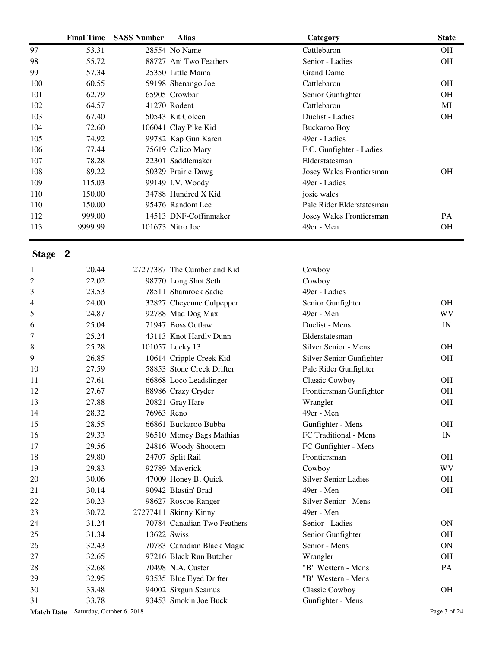|     | <b>Final Time</b> | <b>SASS Number</b> | <b>Alias</b>           | Category                  | <b>State</b> |
|-----|-------------------|--------------------|------------------------|---------------------------|--------------|
| 97  | 53.31             |                    | 28554 No Name          | Cattlebaron               | <b>OH</b>    |
| 98  | 55.72             |                    | 88727 Ani Two Feathers | Senior - Ladies           | <b>OH</b>    |
| 99  | 57.34             |                    | 25350 Little Mama      | <b>Grand Dame</b>         |              |
| 100 | 60.55             |                    | 59198 Shenango Joe     | Cattlebaron               | <b>OH</b>    |
| 101 | 62.79             |                    | 65905 Crowbar          | Senior Gunfighter         | OH           |
| 102 | 64.57             |                    | 41270 Rodent           | Cattlebaron               | MI           |
| 103 | 67.40             |                    | 50543 Kit Coleen       | Duelist - Ladies          | OH           |
| 104 | 72.60             |                    | 106041 Clay Pike Kid   | Buckaroo Boy              |              |
| 105 | 74.92             |                    | 99782 Kap Gun Karen    | 49er - Ladies             |              |
| 106 | 77.44             |                    | 75619 Calico Mary      | F.C. Gunfighter - Ladies  |              |
| 107 | 78.28             |                    | 22301 Saddlemaker      | Elderstatesman            |              |
| 108 | 89.22             |                    | 50329 Prairie Dawg     | Josey Wales Frontiersman  | <b>OH</b>    |
| 109 | 115.03            |                    | 99149 I.V. Woody       | 49er - Ladies             |              |
| 110 | 150.00            |                    | 34788 Hundred X Kid    | josie wales               |              |
| 110 | 150.00            |                    | 95476 Random Lee       | Pale Rider Elderstatesman |              |
| 112 | 999.00            |                    | 14513 DNF-Coffinmaker  | Josey Wales Frontiersman  | PA           |
| 113 | 9999.99           |                    | 101673 Nitro Joe       | 49er - Men                | <b>OH</b>    |

|                | Match Date Saturday, October 6, 2018 |             |                             |                             | Page 3 of 24 |
|----------------|--------------------------------------|-------------|-----------------------------|-----------------------------|--------------|
| 31             | 33.78                                |             | 93453 Smokin Joe Buck       | Gunfighter - Mens           |              |
| 30             | 33.48                                |             | 94002 Sixgun Seamus         | Classic Cowboy              | <b>OH</b>    |
| 29             | 32.95                                |             | 93535 Blue Eyed Drifter     | "B" Western - Mens          |              |
| 28             | 32.68                                |             | 70498 N.A. Custer           | "B" Western - Mens          | PA           |
| 27             | 32.65                                |             | 97216 Black Run Butcher     | Wrangler                    | <b>OH</b>    |
| 26             | 32.43                                |             | 70783 Canadian Black Magic  | Senior - Mens               | <b>ON</b>    |
| 25             | 31.34                                | 13622 Swiss |                             | Senior Gunfighter           | <b>OH</b>    |
| 24             | 31.24                                |             | 70784 Canadian Two Feathers | Senior - Ladies             | <b>ON</b>    |
| 23             | 30.72                                |             | 27277411 Skinny Kinny       | 49er - Men                  |              |
| 22             | 30.23                                |             | 98627 Roscoe Ranger         | Silver Senior - Mens        |              |
| 21             | 30.14                                |             | 90942 Blastin' Brad         | 49er - Men                  | OH           |
| 20             | 30.06                                |             | 47009 Honey B. Quick        | <b>Silver Senior Ladies</b> | <b>OH</b>    |
| 19             | 29.83                                |             | 92789 Maverick              | Cowboy                      | <b>WV</b>    |
| 18             | 29.80                                |             | 24707 Split Rail            | Frontiersman                | <b>OH</b>    |
| 17             | 29.56                                |             | 24816 Woody Shootem         | FC Gunfighter - Mens        |              |
| 16             | 29.33                                |             | 96510 Money Bags Mathias    | FC Traditional - Mens       | IN           |
| 15             | 28.55                                |             | 66861 Buckaroo Bubba        | Gunfighter - Mens           | <b>OH</b>    |
| 14             | 28.32                                | 76963 Reno  |                             | 49er - Men                  |              |
| 13             | 27.88                                |             | 20821 Gray Hare             | Wrangler                    | <b>OH</b>    |
| 12             | 27.67                                |             | 88986 Crazy Cryder          | Frontiersman Gunfighter     | <b>OH</b>    |
| 11             | 27.61                                |             | 66868 Loco Leadslinger      | Classic Cowboy              | <b>OH</b>    |
| 10             | 27.59                                |             | 58853 Stone Creek Drifter   | Pale Rider Gunfighter       |              |
| 9              | 26.85                                |             | 10614 Cripple Creek Kid     | Silver Senior Gunfighter    | <b>OH</b>    |
| 8              | 25.28                                |             | 101057 Lucky 13             | Silver Senior - Mens        | <b>OH</b>    |
| 7              | 25.24                                |             | 43113 Knot Hardly Dunn      | Elderstatesman              |              |
| 6              | 25.04                                |             | 71947 Boss Outlaw           | Duelist - Mens              | IN           |
| 5              | 24.87                                |             | 92788 Mad Dog Max           | 49er - Men                  | WV           |
| 4              | 24.00                                |             | 32827 Cheyenne Culpepper    | Senior Gunfighter           | <b>OH</b>    |
| 3              | 23.53                                |             | 78511 Shamrock Sadie        | 49er - Ladies               |              |
| $\overline{c}$ | 22.02                                |             | 98770 Long Shot Seth        | Cowboy                      |              |
| $\mathbf{1}$   | 20.44                                |             | 27277387 The Cumberland Kid | Cowboy                      |              |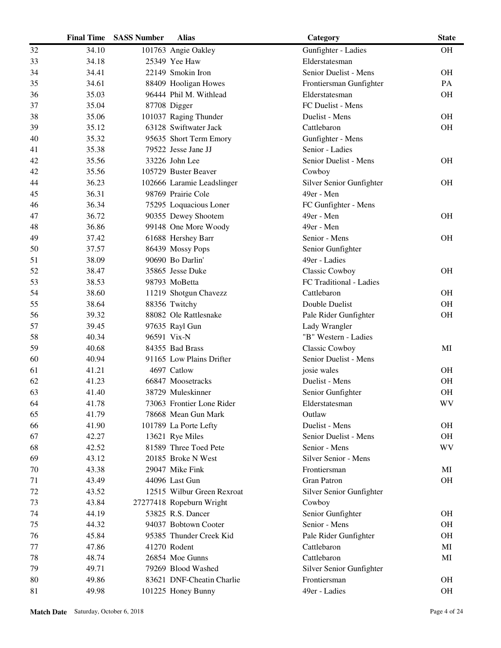|    | <b>Final Time</b> | <b>SASS Number</b> | <b>Alias</b>               | Category                 | <b>State</b> |
|----|-------------------|--------------------|----------------------------|--------------------------|--------------|
| 32 | 34.10             |                    | 101763 Angie Oakley        | Gunfighter - Ladies      | <b>OH</b>    |
| 33 | 34.18             |                    | 25349 Yee Haw              | Elderstatesman           |              |
| 34 | 34.41             |                    | 22149 Smokin Iron          | Senior Duelist - Mens    | <b>OH</b>    |
| 35 | 34.61             |                    | 88409 Hooligan Howes       | Frontiersman Gunfighter  | PA           |
| 36 | 35.03             |                    | 96444 Phil M. Withlead     | Elderstatesman           | <b>OH</b>    |
| 37 | 35.04             |                    | 87708 Digger               | FC Duelist - Mens        |              |
| 38 | 35.06             |                    | 101037 Raging Thunder      | Duelist - Mens           | <b>OH</b>    |
| 39 | 35.12             |                    | 63128 Swiftwater Jack      | Cattlebaron              | <b>OH</b>    |
| 40 | 35.32             |                    | 95635 Short Term Emory     | Gunfighter - Mens        |              |
| 41 | 35.38             |                    | 79522 Jesse Jane JJ        | Senior - Ladies          |              |
| 42 | 35.56             |                    | 33226 John Lee             | Senior Duelist - Mens    | <b>OH</b>    |
| 42 | 35.56             |                    | 105729 Buster Beaver       | Cowboy                   |              |
| 44 | 36.23             |                    | 102666 Laramie Leadslinger | Silver Senior Gunfighter | <b>OH</b>    |
| 45 | 36.31             |                    | 98769 Prairie Cole         | 49er - Men               |              |
| 46 | 36.34             |                    | 75295 Loquacious Loner     | FC Gunfighter - Mens     |              |
| 47 | 36.72             |                    | 90355 Dewey Shootem        | 49er - Men               | <b>OH</b>    |
| 48 | 36.86             |                    | 99148 One More Woody       | 49er - Men               |              |
| 49 | 37.42             |                    | 61688 Hershey Barr         | Senior - Mens            | <b>OH</b>    |
| 50 | 37.57             |                    | 86439 Mossy Pops           | Senior Gunfighter        |              |
| 51 | 38.09             |                    | 90690 Bo Darlin'           | 49er - Ladies            |              |
| 52 | 38.47             |                    | 35865 Jesse Duke           | Classic Cowboy           | <b>OH</b>    |
| 53 | 38.53             |                    | 98793 MoBetta              | FC Traditional - Ladies  |              |
| 54 | 38.60             |                    | 11219 Shotgun Chavezz      | Cattlebaron              | <b>OH</b>    |
| 55 | 38.64             |                    | 88356 Twitchy              | Double Duelist           | OH           |
| 56 | 39.32             |                    | 88082 Ole Rattlesnake      | Pale Rider Gunfighter    | OH           |
| 57 | 39.45             |                    | 97635 Rayl Gun             | Lady Wrangler            |              |
| 58 | 40.34             |                    | 96591 Vix-N                | "B" Western - Ladies     |              |
| 59 | 40.68             |                    | 84355 Bad Brass            | Classic Cowboy           | MI           |
| 60 | 40.94             |                    | 91165 Low Plains Drifter   | Senior Duelist - Mens    |              |
| 61 | 41.21             |                    | 4697 Catlow                | josie wales              | <b>OH</b>    |
| 62 | 41.23             |                    | 66847 Moosetracks          | Duelist - Mens           | OH           |
| 63 | 41.40             |                    | 38729 Muleskinner          | Senior Gunfighter        | <b>OH</b>    |
| 64 | 41.78             |                    | 73063 Frontier Lone Rider  | Elderstatesman           | WV           |
| 65 | 41.79             |                    | 78668 Mean Gun Mark        | Outlaw                   |              |
| 66 | 41.90             |                    | 101789 La Porte Lefty      | Duelist - Mens           | <b>OH</b>    |
| 67 | 42.27             |                    | 13621 Rye Miles            | Senior Duelist - Mens    | <b>OH</b>    |
| 68 | 42.52             |                    | 81589 Three Toed Pete      | Senior - Mens            | WV           |
| 69 | 43.12             |                    | 20185 Broke N West         | Silver Senior - Mens     |              |
| 70 | 43.38             |                    | 29047 Mike Fink            | Frontiersman             | MI           |
| 71 | 43.49             |                    | 44096 Last Gun             | <b>Gran Patron</b>       | <b>OH</b>    |
| 72 | 43.52             |                    | 12515 Wilbur Green Rexroat | Silver Senior Gunfighter |              |
| 73 | 43.84             |                    | 27277418 Ropeburn Wright   | Cowboy                   |              |
| 74 | 44.19             |                    | 53825 R.S. Dancer          | Senior Gunfighter        | <b>OH</b>    |
| 75 | 44.32             |                    | 94037 Bobtown Cooter       | Senior - Mens            | <b>OH</b>    |
| 76 | 45.84             |                    | 95385 Thunder Creek Kid    | Pale Rider Gunfighter    | <b>OH</b>    |
| 77 | 47.86             |                    | 41270 Rodent               | Cattlebaron              | MI           |
| 78 | 48.74             |                    | 26854 Moe Gunns            | Cattlebaron              | MI           |
| 79 | 49.71             |                    | 79269 Blood Washed         | Silver Senior Gunfighter |              |
| 80 | 49.86             |                    | 83621 DNF-Cheatin Charlie  | Frontiersman             | <b>OH</b>    |
| 81 | 49.98             |                    | 101225 Honey Bunny         | 49er - Ladies            | <b>OH</b>    |
|    |                   |                    |                            |                          |              |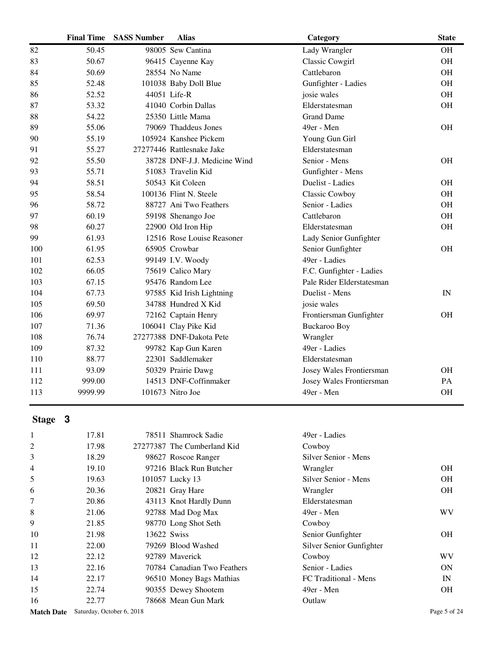|     | <b>Final Time</b> | <b>SASS Number</b> | <b>Alias</b>                 | Category                  | <b>State</b> |
|-----|-------------------|--------------------|------------------------------|---------------------------|--------------|
| 82  | 50.45             |                    | 98005 Sew Cantina            | Lady Wrangler             | OH           |
| 83  | 50.67             |                    | 96415 Cayenne Kay            | Classic Cowgirl           | <b>OH</b>    |
| 84  | 50.69             |                    | 28554 No Name                | Cattlebaron               | <b>OH</b>    |
| 85  | 52.48             |                    | 101038 Baby Doll Blue        | Gunfighter - Ladies       | OH           |
| 86  | 52.52             |                    | 44051 Life-R                 | josie wales               | OH           |
| 87  | 53.32             |                    | 41040 Corbin Dallas          | Elderstatesman            | <b>OH</b>    |
| 88  | 54.22             |                    | 25350 Little Mama            | <b>Grand Dame</b>         |              |
| 89  | 55.06             |                    | 79069 Thaddeus Jones         | 49er - Men                | <b>OH</b>    |
| 90  | 55.19             |                    | 105924 Kanshee Pickem        | Young Gun Girl            |              |
| 91  | 55.27             |                    | 27277446 Rattlesnake Jake    | Elderstatesman            |              |
| 92  | 55.50             |                    | 38728 DNF-J.J. Medicine Wind | Senior - Mens             | <b>OH</b>    |
| 93  | 55.71             |                    | 51083 Travelin Kid           | Gunfighter - Mens         |              |
| 94  | 58.51             |                    | 50543 Kit Coleen             | Duelist - Ladies          | <b>OH</b>    |
| 95  | 58.54             |                    | 100136 Flint N. Steele       | Classic Cowboy            | OH           |
| 96  | 58.72             |                    | 88727 Ani Two Feathers       | Senior - Ladies           | OH           |
| 97  | 60.19             |                    | 59198 Shenango Joe           | Cattlebaron               | OH           |
| 98  | 60.27             |                    | 22900 Old Iron Hip           | Elderstatesman            | <b>OH</b>    |
| 99  | 61.93             |                    | 12516 Rose Louise Reasoner   | Lady Senior Gunfighter    |              |
| 100 | 61.95             |                    | 65905 Crowbar                | Senior Gunfighter         | OH           |
| 101 | 62.53             |                    | 99149 I.V. Woody             | 49er - Ladies             |              |
| 102 | 66.05             |                    | 75619 Calico Mary            | F.C. Gunfighter - Ladies  |              |
| 103 | 67.15             |                    | 95476 Random Lee             | Pale Rider Elderstatesman |              |
| 104 | 67.73             |                    | 97585 Kid Irish Lightning    | Duelist - Mens            | IN           |
| 105 | 69.50             |                    | 34788 Hundred X Kid          | josie wales               |              |
| 106 | 69.97             |                    | 72162 Captain Henry          | Frontiersman Gunfighter   | <b>OH</b>    |
| 107 | 71.36             |                    | 106041 Clay Pike Kid         | <b>Buckaroo Boy</b>       |              |
| 108 | 76.74             |                    | 27277388 DNF-Dakota Pete     | Wrangler                  |              |
| 109 | 87.32             |                    | 99782 Kap Gun Karen          | 49er - Ladies             |              |
| 110 | 88.77             |                    | 22301 Saddlemaker            | Elderstatesman            |              |
| 111 | 93.09             |                    | 50329 Prairie Dawg           | Josey Wales Frontiersman  | <b>OH</b>    |
| 112 | 999.00            |                    | 14513 DNF-Coffinmaker        | Josey Wales Frontiersman  | PA           |
| 113 | 9999.99           |                    | 101673 Nitro Joe             | 49er - Men                | <b>OH</b>    |

| 2<br>17.98<br>27277387 The Cumberland Kid<br>Cowboy<br>3<br>Silver Senior - Mens<br>18.29<br>98627 Roscoe Ranger<br>4<br>97216 Black Run Butcher<br>19.10<br>Wrangler<br>5<br>19.63<br>Silver Senior - Mens<br>101057 Lucky 13 |           |
|--------------------------------------------------------------------------------------------------------------------------------------------------------------------------------------------------------------------------------|-----------|
|                                                                                                                                                                                                                                |           |
|                                                                                                                                                                                                                                |           |
|                                                                                                                                                                                                                                | OH.       |
|                                                                                                                                                                                                                                | <b>OH</b> |
| 6<br>20821 Gray Hare<br>20.36<br>Wrangler                                                                                                                                                                                      | <b>OH</b> |
| 7<br>20.86<br>43113 Knot Hardly Dunn<br>Elderstatesman                                                                                                                                                                         |           |
| 8<br>21.06<br>92788 Mad Dog Max<br>49er - Men                                                                                                                                                                                  | WV.       |
| 9<br>21.85<br>98770 Long Shot Seth<br>Cowboy                                                                                                                                                                                   |           |
| 13622 Swiss<br>10<br>21.98<br>Senior Gunfighter                                                                                                                                                                                | <b>OH</b> |
| 11<br>79269 Blood Washed<br>22.00<br>Silver Senior Gunfighter                                                                                                                                                                  |           |
| 12<br>22.12<br>92789 Mayerick<br>Cowboy                                                                                                                                                                                        | WV        |
| 13<br>22.16<br>70784 Canadian Two Feathers<br>Senior - Ladies                                                                                                                                                                  | ON        |
| 14<br>FC Traditional - Mens<br>22.17<br>96510 Money Bags Mathias                                                                                                                                                               | IN        |
| 15<br>22.74<br>90355 Dewey Shootem<br>49er - Men                                                                                                                                                                               | <b>OH</b> |
| 16<br>78668 Mean Gun Mark<br>Outlaw<br>22.77                                                                                                                                                                                   |           |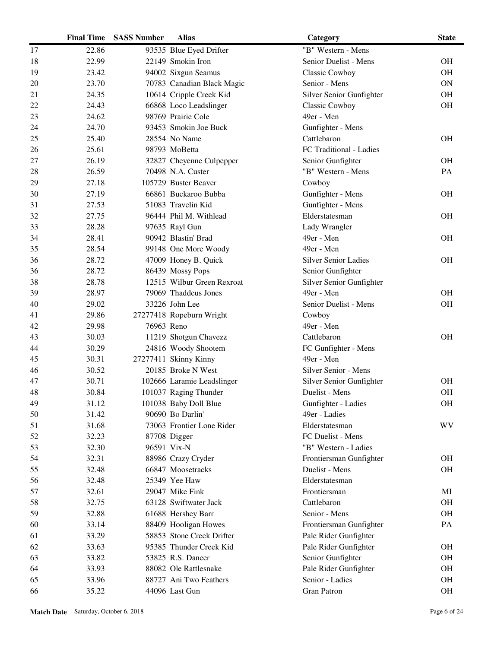|    | <b>Final Time</b> | <b>SASS Number</b> | <b>Alias</b>               | Category                    | <b>State</b> |
|----|-------------------|--------------------|----------------------------|-----------------------------|--------------|
| 17 | 22.86             |                    | 93535 Blue Eyed Drifter    | "B" Western - Mens          |              |
| 18 | 22.99             |                    | 22149 Smokin Iron          | Senior Duelist - Mens       | <b>OH</b>    |
| 19 | 23.42             |                    | 94002 Sixgun Seamus        | Classic Cowboy              | <b>OH</b>    |
| 20 | 23.70             |                    | 70783 Canadian Black Magic | Senior - Mens               | <b>ON</b>    |
| 21 | 24.35             |                    | 10614 Cripple Creek Kid    | Silver Senior Gunfighter    | <b>OH</b>    |
| 22 | 24.43             |                    | 66868 Loco Leadslinger     | <b>Classic Cowboy</b>       | OH           |
| 23 | 24.62             |                    | 98769 Prairie Cole         | 49er - Men                  |              |
| 24 | 24.70             |                    | 93453 Smokin Joe Buck      | Gunfighter - Mens           |              |
| 25 | 25.40             |                    | 28554 No Name              | Cattlebaron                 | <b>OH</b>    |
| 26 | 25.61             |                    | 98793 MoBetta              | FC Traditional - Ladies     |              |
| 27 | 26.19             |                    | 32827 Cheyenne Culpepper   | Senior Gunfighter           | <b>OH</b>    |
| 28 | 26.59             |                    | 70498 N.A. Custer          | "B" Western - Mens          | PA           |
| 29 | 27.18             |                    | 105729 Buster Beaver       | Cowboy                      |              |
| 30 | 27.19             |                    | 66861 Buckaroo Bubba       | Gunfighter - Mens           | <b>OH</b>    |
| 31 | 27.53             |                    | 51083 Travelin Kid         | Gunfighter - Mens           |              |
| 32 | 27.75             |                    | 96444 Phil M. Withlead     | Elderstatesman              | <b>OH</b>    |
| 33 | 28.28             |                    | 97635 Rayl Gun             | Lady Wrangler               |              |
| 34 | 28.41             |                    | 90942 Blastin' Brad        | 49er - Men                  | <b>OH</b>    |
| 35 | 28.54             |                    | 99148 One More Woody       | 49er - Men                  |              |
| 36 | 28.72             |                    | 47009 Honey B. Quick       | <b>Silver Senior Ladies</b> | <b>OH</b>    |
| 36 | 28.72             |                    | 86439 Mossy Pops           | Senior Gunfighter           |              |
| 38 | 28.78             |                    | 12515 Wilbur Green Rexroat | Silver Senior Gunfighter    |              |
| 39 | 28.97             |                    | 79069 Thaddeus Jones       | 49er - Men                  | <b>OH</b>    |
| 40 | 29.02             |                    | 33226 John Lee             | Senior Duelist - Mens       | <b>OH</b>    |
| 41 | 29.86             |                    | 27277418 Ropeburn Wright   | Cowboy                      |              |
| 42 | 29.98             | 76963 Reno         |                            | 49er - Men                  |              |
| 43 | 30.03             |                    | 11219 Shotgun Chavezz      | Cattlebaron                 | <b>OH</b>    |
| 44 | 30.29             |                    | 24816 Woody Shootem        | FC Gunfighter - Mens        |              |
| 45 | 30.31             |                    | 27277411 Skinny Kinny      | 49er - Men                  |              |
| 46 | 30.52             |                    | 20185 Broke N West         | Silver Senior - Mens        |              |
| 47 | 30.71             |                    | 102666 Laramie Leadslinger | Silver Senior Gunfighter    | <b>OH</b>    |
| 48 | 30.84             |                    | 101037 Raging Thunder      | Duelist - Mens              | <b>OH</b>    |
| 49 | 31.12             |                    | 101038 Baby Doll Blue      | Gunfighter - Ladies         | <b>OH</b>    |
| 50 | 31.42             |                    | 90690 Bo Darlin'           | 49er - Ladies               |              |
| 51 | 31.68             |                    | 73063 Frontier Lone Rider  | Elderstatesman              | WV           |
| 52 | 32.23             |                    | 87708 Digger               | FC Duelist - Mens           |              |
| 53 | 32.30             |                    | 96591 Vix-N                | "B" Western - Ladies        |              |
| 54 | 32.31             |                    | 88986 Crazy Cryder         | Frontiersman Gunfighter     | <b>OH</b>    |
| 55 | 32.48             |                    | 66847 Moosetracks          | Duelist - Mens              | <b>OH</b>    |
| 56 | 32.48             |                    | 25349 Yee Haw              | Elderstatesman              |              |
| 57 | 32.61             |                    | 29047 Mike Fink            | Frontiersman                | MI           |
| 58 | 32.75             |                    | 63128 Swiftwater Jack      | Cattlebaron                 | <b>OH</b>    |
| 59 | 32.88             |                    | 61688 Hershey Barr         | Senior - Mens               | <b>OH</b>    |
| 60 | 33.14             |                    | 88409 Hooligan Howes       | Frontiersman Gunfighter     | PA           |
| 61 | 33.29             |                    | 58853 Stone Creek Drifter  | Pale Rider Gunfighter       |              |
| 62 | 33.63             |                    | 95385 Thunder Creek Kid    | Pale Rider Gunfighter       | <b>OH</b>    |
| 63 | 33.82             |                    | 53825 R.S. Dancer          | Senior Gunfighter           | <b>OH</b>    |
| 64 | 33.93             |                    | 88082 Ole Rattlesnake      | Pale Rider Gunfighter       | <b>OH</b>    |
| 65 | 33.96             |                    | 88727 Ani Two Feathers     | Senior - Ladies             | <b>OH</b>    |
| 66 | 35.22             |                    | 44096 Last Gun             | <b>Gran Patron</b>          | <b>OH</b>    |
|    |                   |                    |                            |                             |              |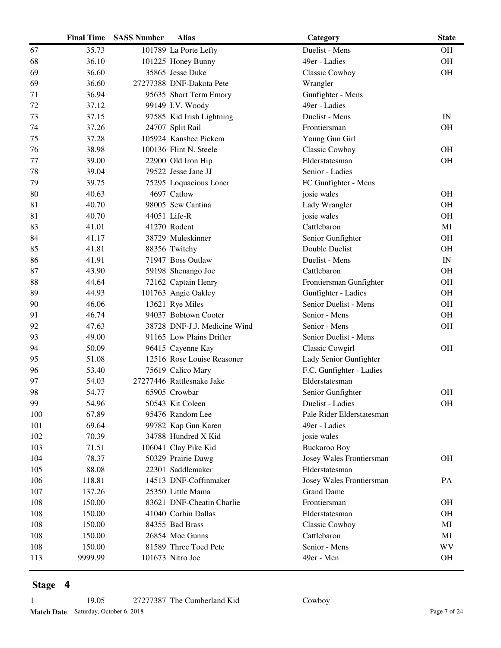|     | <b>Final Time</b> | <b>SASS Number</b> | <b>Alias</b>                 | Category                  | <b>State</b>             |
|-----|-------------------|--------------------|------------------------------|---------------------------|--------------------------|
| 67  | 35.73             |                    | 101789 La Porte Lefty        | Duelist - Mens            | <b>OH</b>                |
| 68  | 36.10             |                    | 101225 Honey Bunny           | 49er - Ladies             | OH                       |
| 69  | 36.60             |                    | 35865 Jesse Duke             | Classic Cowboy            | <b>OH</b>                |
| 69  | 36.60             |                    | 27277388 DNF-Dakota Pete     | Wrangler                  |                          |
| 71  | 36.94             |                    | 95635 Short Term Emory       | Gunfighter - Mens         |                          |
| 72  | 37.12             |                    | 99149 I.V. Woody             | 49er - Ladies             |                          |
| 73  | 37.15             |                    | 97585 Kid Irish Lightning    | Duelist - Mens            | IN                       |
| 74  | 37.26             |                    | 24707 Split Rail             | Frontiersman              | <b>OH</b>                |
| 75  | 37.28             |                    | 105924 Kanshee Pickem        | Young Gun Girl            |                          |
| 76  | 38.98             |                    | 100136 Flint N. Steele       | <b>Classic Cowboy</b>     | <b>OH</b>                |
| 77  | 39.00             |                    | 22900 Old Iron Hip           | Elderstatesman            | <b>OH</b>                |
| 78  | 39.04             |                    | 79522 Jesse Jane JJ          | Senior - Ladies           |                          |
| 79  | 39.75             |                    | 75295 Loquacious Loner       | FC Gunfighter - Mens      |                          |
| 80  | 40.63             |                    | 4697 Catlow                  | josie wales               | OH                       |
| 81  | 40.70             |                    | 98005 Sew Cantina            | Lady Wrangler             | <b>OH</b>                |
| 81  | 40.70             |                    | 44051 Life-R                 | josie wales               | <b>OH</b>                |
| 83  | 41.01             |                    | 41270 Rodent                 | Cattlebaron               | MI                       |
| 84  | 41.17             |                    | 38729 Muleskinner            | Senior Gunfighter         | <b>OH</b>                |
| 85  | 41.81             |                    | 88356 Twitchy                | Double Duelist            | <b>OH</b>                |
| 86  | 41.91             |                    | 71947 Boss Outlaw            | Duelist - Mens            | $\ensuremath{\text{IN}}$ |
| 87  | 43.90             |                    | 59198 Shenango Joe           | Cattlebaron               | <b>OH</b>                |
| 88  | 44.64             |                    | 72162 Captain Henry          | Frontiersman Gunfighter   | <b>OH</b>                |
| 89  | 44.93             |                    | 101763 Angie Oakley          | Gunfighter - Ladies       | <b>OH</b>                |
| 90  | 46.06             |                    | 13621 Rye Miles              | Senior Duelist - Mens     | <b>OH</b>                |
| 91  | 46.74             |                    | 94037 Bobtown Cooter         | Senior - Mens             | <b>OH</b>                |
| 92  | 47.63             |                    | 38728 DNF-J.J. Medicine Wind | Senior - Mens             | OH                       |
| 93  | 49.00             |                    | 91165 Low Plains Drifter     | Senior Duelist - Mens     |                          |
| 94  | 50.09             |                    | 96415 Cayenne Kay            | Classic Cowgirl           | <b>OH</b>                |
| 95  | 51.08             |                    | 12516 Rose Louise Reasoner   | Lady Senior Gunfighter    |                          |
| 96  | 53.40             |                    | 75619 Calico Mary            | F.C. Gunfighter - Ladies  |                          |
| 97  | 54.03             |                    | 27277446 Rattlesnake Jake    | Elderstatesman            |                          |
| 98  | 54.77             |                    | 65905 Crowbar                | Senior Gunfighter         | <b>OH</b>                |
| 99  | 54.96             |                    | 50543 Kit Coleen             | Duelist - Ladies          | <b>OH</b>                |
| 100 | 67.89             |                    | 95476 Random Lee             | Pale Rider Elderstatesman |                          |
| 101 | 69.64             |                    | 99782 Kap Gun Karen          | 49er - Ladies             |                          |
| 102 | 70.39             |                    | 34788 Hundred X Kid          | josie wales               |                          |
| 103 | 71.51             |                    | 106041 Clay Pike Kid         | <b>Buckaroo Boy</b>       |                          |
| 104 | 78.37             |                    | 50329 Prairie Dawg           | Josey Wales Frontiersman  | <b>OH</b>                |
| 105 | 88.08             |                    | 22301 Saddlemaker            | Elderstatesman            |                          |
| 106 | 118.81            |                    | 14513 DNF-Coffinmaker        | Josey Wales Frontiersman  | PA                       |
| 107 | 137.26            |                    | 25350 Little Mama            | <b>Grand Dame</b>         |                          |
| 108 | 150.00            |                    | 83621 DNF-Cheatin Charlie    | Frontiersman              | <b>OH</b>                |
| 108 | 150.00            |                    | 41040 Corbin Dallas          | Elderstatesman            | <b>OH</b>                |
| 108 | 150.00            |                    | 84355 Bad Brass              | <b>Classic Cowboy</b>     | MI                       |
| 108 | 150.00            |                    | 26854 Moe Gunns              | Cattlebaron               | MI                       |
| 108 | 150.00            |                    | 81589 Three Toed Pete        | Senior - Mens             | WV                       |
| 113 | 9999.99           |                    | 101673 Nitro Joe             | 49er - Men                | <b>OH</b>                |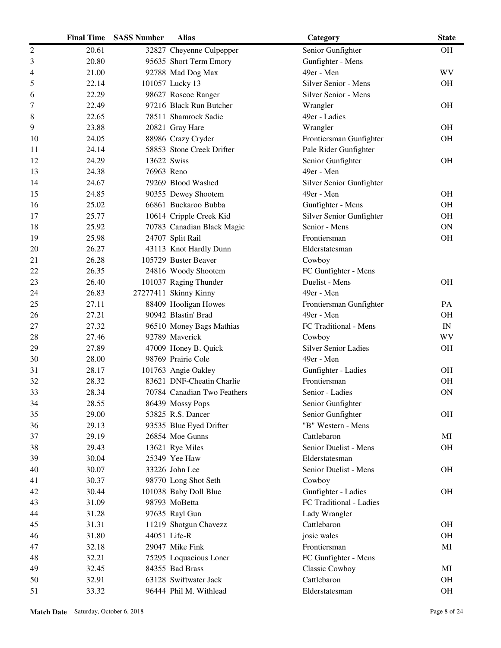|                | <b>Final Time</b> | <b>SASS Number</b> | <b>Alias</b>                | Category                    | <b>State</b>             |
|----------------|-------------------|--------------------|-----------------------------|-----------------------------|--------------------------|
| $\overline{2}$ | 20.61             |                    | 32827 Cheyenne Culpepper    | Senior Gunfighter           | <b>OH</b>                |
| 3              | 20.80             |                    | 95635 Short Term Emory      | Gunfighter - Mens           |                          |
| 4              | 21.00             |                    | 92788 Mad Dog Max           | 49er - Men                  | <b>WV</b>                |
| 5              | 22.14             |                    | 101057 Lucky 13             | Silver Senior - Mens        | <b>OH</b>                |
| 6              | 22.29             |                    | 98627 Roscoe Ranger         | Silver Senior - Mens        |                          |
| 7              | 22.49             |                    | 97216 Black Run Butcher     | Wrangler                    | <b>OH</b>                |
| 8              | 22.65             |                    | 78511 Shamrock Sadie        | 49er - Ladies               |                          |
| 9              | 23.88             |                    | 20821 Gray Hare             | Wrangler                    | <b>OH</b>                |
| 10             | 24.05             |                    | 88986 Crazy Cryder          | Frontiersman Gunfighter     | <b>OH</b>                |
| 11             | 24.14             |                    | 58853 Stone Creek Drifter   | Pale Rider Gunfighter       |                          |
| 12             | 24.29             | 13622 Swiss        |                             | Senior Gunfighter           | <b>OH</b>                |
| 13             | 24.38             | 76963 Reno         |                             | 49er - Men                  |                          |
| 14             | 24.67             |                    | 79269 Blood Washed          | Silver Senior Gunfighter    |                          |
| 15             | 24.85             |                    | 90355 Dewey Shootem         | 49er - Men                  | <b>OH</b>                |
| 16             | 25.02             |                    | 66861 Buckaroo Bubba        | Gunfighter - Mens           | <b>OH</b>                |
| 17             | 25.77             |                    | 10614 Cripple Creek Kid     | Silver Senior Gunfighter    | <b>OH</b>                |
| 18             | 25.92             |                    | 70783 Canadian Black Magic  | Senior - Mens               | <b>ON</b>                |
| 19             | 25.98             |                    | 24707 Split Rail            | Frontiersman                | OH                       |
| 20             | 26.27             |                    | 43113 Knot Hardly Dunn      | Elderstatesman              |                          |
| 21             | 26.28             |                    | 105729 Buster Beaver        | Cowboy                      |                          |
| 22             | 26.35             |                    | 24816 Woody Shootem         | FC Gunfighter - Mens        |                          |
| 23             | 26.40             |                    | 101037 Raging Thunder       | Duelist - Mens              | <b>OH</b>                |
| 24             | 26.83             |                    | 27277411 Skinny Kinny       | 49er - Men                  |                          |
| 25             | 27.11             |                    | 88409 Hooligan Howes        | Frontiersman Gunfighter     | PA                       |
| 26             | 27.21             |                    | 90942 Blastin' Brad         | 49er - Men                  | <b>OH</b>                |
| 27             | 27.32             |                    | 96510 Money Bags Mathias    | FC Traditional - Mens       | $\ensuremath{\text{IN}}$ |
| 28             | 27.46             |                    | 92789 Maverick              | Cowboy                      | <b>WV</b>                |
| 29             | 27.89             |                    | 47009 Honey B. Quick        | <b>Silver Senior Ladies</b> | <b>OH</b>                |
| 30             | 28.00             |                    | 98769 Prairie Cole          | 49er - Men                  |                          |
| 31             | 28.17             |                    | 101763 Angie Oakley         | Gunfighter - Ladies         | <b>OH</b>                |
| 32             | 28.32             |                    | 83621 DNF-Cheatin Charlie   | Frontiersman                | <b>OH</b>                |
| 33             | 28.34             |                    | 70784 Canadian Two Feathers | Senior - Ladies             | ON                       |
| 34             | 28.55             |                    | 86439 Mossy Pops            | Senior Gunfighter           |                          |
| 35             | 29.00             |                    | 53825 R.S. Dancer           | Senior Gunfighter           | <b>OH</b>                |
| 36             | 29.13             |                    | 93535 Blue Eyed Drifter     | "B" Western - Mens          |                          |
| 37             | 29.19             |                    | 26854 Moe Gunns             | Cattlebaron                 | MI                       |
| 38             | 29.43             |                    | 13621 Rye Miles             | Senior Duelist - Mens       | <b>OH</b>                |
| 39             | 30.04             |                    | 25349 Yee Haw               | Elderstatesman              |                          |
| 40             | 30.07             |                    | 33226 John Lee              | Senior Duelist - Mens       | <b>OH</b>                |
| 41             | 30.37             |                    | 98770 Long Shot Seth        | Cowboy                      |                          |
| 42             | 30.44             |                    | 101038 Baby Doll Blue       | Gunfighter - Ladies         | <b>OH</b>                |
| 43             | 31.09             |                    | 98793 MoBetta               | FC Traditional - Ladies     |                          |
| 44             | 31.28             |                    | 97635 Rayl Gun              | Lady Wrangler               |                          |
| 45             | 31.31             |                    | 11219 Shotgun Chavezz       | Cattlebaron                 | <b>OH</b>                |
| 46             | 31.80             |                    | 44051 Life-R                | josie wales                 | OH                       |
| 47             | 32.18             |                    | 29047 Mike Fink             | Frontiersman                | MI                       |
| 48             | 32.21             |                    | 75295 Loquacious Loner      | FC Gunfighter - Mens        |                          |
| 49             | 32.45             |                    | 84355 Bad Brass             | Classic Cowboy              | MI                       |
| 50             | 32.91             |                    | 63128 Swiftwater Jack       | Cattlebaron                 | <b>OH</b>                |
| 51             | 33.32             |                    | 96444 Phil M. Withlead      | Elderstatesman              | OH                       |
|                |                   |                    |                             |                             |                          |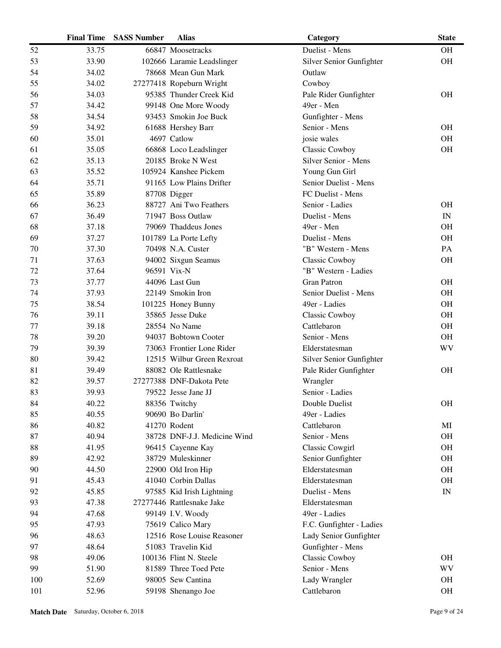|     | <b>Final Time</b> | <b>SASS Number</b> | <b>Alias</b>                 | Category                 | <b>State</b>             |
|-----|-------------------|--------------------|------------------------------|--------------------------|--------------------------|
| 52  | 33.75             |                    | 66847 Moosetracks            | Duelist - Mens           | <b>OH</b>                |
| 53  | 33.90             |                    | 102666 Laramie Leadslinger   | Silver Senior Gunfighter | OH                       |
| 54  | 34.02             |                    | 78668 Mean Gun Mark          | Outlaw                   |                          |
| 55  | 34.02             |                    | 27277418 Ropeburn Wright     | Cowboy                   |                          |
| 56  | 34.03             |                    | 95385 Thunder Creek Kid      | Pale Rider Gunfighter    | <b>OH</b>                |
| 57  | 34.42             |                    | 99148 One More Woody         | 49er - Men               |                          |
| 58  | 34.54             |                    | 93453 Smokin Joe Buck        | Gunfighter - Mens        |                          |
| 59  | 34.92             |                    | 61688 Hershey Barr           | Senior - Mens            | <b>OH</b>                |
| 60  | 35.01             |                    | 4697 Catlow                  | josie wales              | <b>OH</b>                |
| 61  | 35.05             |                    | 66868 Loco Leadslinger       | Classic Cowboy           | OH                       |
| 62  | 35.13             |                    | 20185 Broke N West           | Silver Senior - Mens     |                          |
| 63  | 35.52             |                    | 105924 Kanshee Pickem        | Young Gun Girl           |                          |
| 64  | 35.71             |                    | 91165 Low Plains Drifter     | Senior Duelist - Mens    |                          |
| 65  | 35.89             |                    | 87708 Digger                 | FC Duelist - Mens        |                          |
| 66  | 36.23             |                    | 88727 Ani Two Feathers       | Senior - Ladies          | <b>OH</b>                |
| 67  | 36.49             |                    | 71947 Boss Outlaw            | Duelist - Mens           | IN                       |
| 68  | 37.18             |                    | 79069 Thaddeus Jones         | 49er - Men               | <b>OH</b>                |
| 69  | 37.27             |                    | 101789 La Porte Lefty        | Duelist - Mens           | <b>OH</b>                |
| 70  | 37.30             |                    | 70498 N.A. Custer            | "B" Western - Mens       | PA                       |
| 71  | 37.63             |                    | 94002 Sixgun Seamus          | <b>Classic Cowboy</b>    | <b>OH</b>                |
| 72  | 37.64             |                    | 96591 Vix-N                  | "B" Western - Ladies     |                          |
| 73  | 37.77             |                    | 44096 Last Gun               | <b>Gran Patron</b>       | <b>OH</b>                |
| 74  | 37.93             |                    | 22149 Smokin Iron            | Senior Duelist - Mens    | <b>OH</b>                |
| 75  | 38.54             |                    | 101225 Honey Bunny           | 49er - Ladies            | <b>OH</b>                |
| 76  | 39.11             |                    | 35865 Jesse Duke             | <b>Classic Cowboy</b>    | <b>OH</b>                |
| 77  | 39.18             |                    | 28554 No Name                | Cattlebaron              | <b>OH</b>                |
| 78  | 39.20             |                    | 94037 Bobtown Cooter         | Senior - Mens            | <b>OH</b>                |
| 79  | 39.39             |                    | 73063 Frontier Lone Rider    | Elderstatesman           | WV                       |
| 80  | 39.42             |                    | 12515 Wilbur Green Rexroat   | Silver Senior Gunfighter |                          |
| 81  | 39.49             |                    | 88082 Ole Rattlesnake        | Pale Rider Gunfighter    | <b>OH</b>                |
| 82  | 39.57             |                    | 27277388 DNF-Dakota Pete     | Wrangler                 |                          |
| 83  | 39.93             |                    | 79522 Jesse Jane JJ          | Senior - Ladies          |                          |
| 84  | 40.22             |                    | 88356 Twitchy                | Double Duelist           | <b>OH</b>                |
| 85  | 40.55             |                    | 90690 Bo Darlin'             | 49er - Ladies            |                          |
| 86  | 40.82             |                    | 41270 Rodent                 | Cattlebaron              | MI                       |
| 87  | 40.94             |                    | 38728 DNF-J.J. Medicine Wind | Senior - Mens            | <b>OH</b>                |
| 88  | 41.95             |                    | 96415 Cayenne Kay            | <b>Classic Cowgirl</b>   | <b>OH</b>                |
| 89  | 42.92             |                    | 38729 Muleskinner            | Senior Gunfighter        | <b>OH</b>                |
| 90  | 44.50             |                    | 22900 Old Iron Hip           | Elderstatesman           | <b>OH</b>                |
| 91  | 45.43             |                    | 41040 Corbin Dallas          | Elderstatesman           | <b>OH</b>                |
| 92  | 45.85             |                    | 97585 Kid Irish Lightning    | Duelist - Mens           | $\ensuremath{\text{IN}}$ |
| 93  | 47.38             |                    | 27277446 Rattlesnake Jake    | Elderstatesman           |                          |
| 94  | 47.68             |                    | 99149 I.V. Woody             | 49er - Ladies            |                          |
| 95  | 47.93             |                    | 75619 Calico Mary            | F.C. Gunfighter - Ladies |                          |
| 96  | 48.63             |                    | 12516 Rose Louise Reasoner   | Lady Senior Gunfighter   |                          |
| 97  | 48.64             |                    | 51083 Travelin Kid           | Gunfighter - Mens        |                          |
| 98  | 49.06             |                    | 100136 Flint N. Steele       | Classic Cowboy           | <b>OH</b>                |
| 99  | 51.90             |                    | 81589 Three Toed Pete        | Senior - Mens            | <b>WV</b>                |
| 100 | 52.69             |                    | 98005 Sew Cantina            | Lady Wrangler            | <b>OH</b>                |
| 101 | 52.96             |                    | 59198 Shenango Joe           | Cattlebaron              | OH                       |
|     |                   |                    |                              |                          |                          |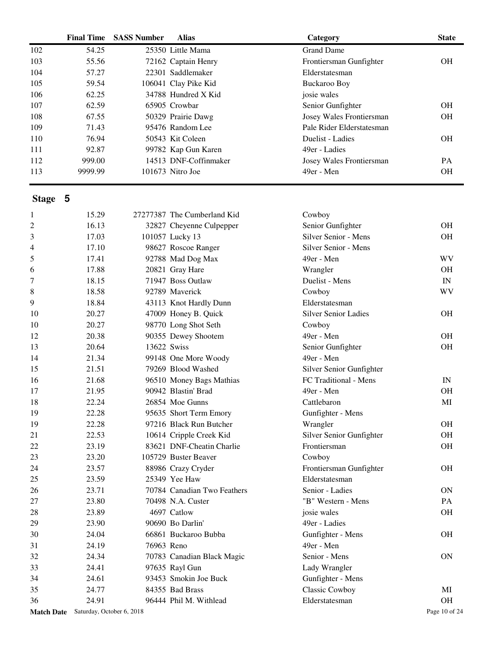|                   | <b>Final Time</b> | <b>SASS Number</b>        | <b>Alias</b>                | Category                    | <b>State</b>             |
|-------------------|-------------------|---------------------------|-----------------------------|-----------------------------|--------------------------|
| 102               | 54.25             |                           | 25350 Little Mama           | <b>Grand Dame</b>           |                          |
| 103               | 55.56             |                           | 72162 Captain Henry         | Frontiersman Gunfighter     | <b>OH</b>                |
| 104               | 57.27             |                           | 22301 Saddlemaker           | Elderstatesman              |                          |
| 105               | 59.54             |                           | 106041 Clay Pike Kid        | <b>Buckaroo Boy</b>         |                          |
| 106               | 62.25             |                           | 34788 Hundred X Kid         | josie wales                 |                          |
| 107               | 62.59             |                           | 65905 Crowbar               | Senior Gunfighter           | <b>OH</b>                |
| 108               | 67.55             |                           | 50329 Prairie Dawg          | Josey Wales Frontiersman    | <b>OH</b>                |
| 109               | 71.43             |                           | 95476 Random Lee            | Pale Rider Elderstatesman   |                          |
| 110               | 76.94             |                           | 50543 Kit Coleen            | Duelist - Ladies            | <b>OH</b>                |
| 111               | 92.87             |                           | 99782 Kap Gun Karen         | 49er - Ladies               |                          |
| 112               | 999.00            |                           | 14513 DNF-Coffinmaker       | Josey Wales Frontiersman    | PA                       |
| 113               | 9999.99           |                           | 101673 Nitro Joe            | 49er - Men                  | <b>OH</b>                |
| Stage 5           |                   |                           |                             |                             |                          |
| 1                 | 15.29             |                           | 27277387 The Cumberland Kid | Cowboy                      |                          |
| $\overline{c}$    | 16.13             |                           | 32827 Cheyenne Culpepper    | Senior Gunfighter           | <b>OH</b>                |
| 3                 | 17.03             |                           | 101057 Lucky 13             | Silver Senior - Mens        | <b>OH</b>                |
| 4                 | 17.10             |                           | 98627 Roscoe Ranger         | Silver Senior - Mens        |                          |
| 5                 | 17.41             |                           | 92788 Mad Dog Max           | 49er - Men                  | <b>WV</b>                |
| 6                 | 17.88             |                           | 20821 Gray Hare             | Wrangler                    | <b>OH</b>                |
| 7                 | 18.15             |                           | 71947 Boss Outlaw           | Duelist - Mens              | $\ensuremath{\text{IN}}$ |
| 8                 | 18.58             |                           | 92789 Maverick              | Cowboy                      | WV                       |
| 9                 | 18.84             |                           | 43113 Knot Hardly Dunn      | Elderstatesman              |                          |
| 10                | 20.27             |                           | 47009 Honey B. Quick        | <b>Silver Senior Ladies</b> | <b>OH</b>                |
| 10                | 20.27             |                           | 98770 Long Shot Seth        | Cowboy                      |                          |
| 12                | 20.38             |                           | 90355 Dewey Shootem         | 49er - Men                  | <b>OH</b>                |
| 13                | 20.64             | 13622 Swiss               |                             | Senior Gunfighter           | OH                       |
| 14                | 21.34             |                           | 99148 One More Woody        | 49er - Men                  |                          |
| 15                | 21.51             |                           | 79269 Blood Washed          | Silver Senior Gunfighter    |                          |
| 16                | 21.68             |                           | 96510 Money Bags Mathias    | FC Traditional - Mens       | $\ensuremath{\text{IN}}$ |
| 17                | 21.95             |                           | 90942 Blastin' Brad         | 49er - Men                  | <b>OH</b>                |
| 18                | 22.24             |                           | 26854 Moe Gunns             | Cattlebaron                 | $\mathbf{M}\mathbf{I}$   |
| 19                | 22.28             |                           | 95635 Short Term Emory      | Gunfighter - Mens           |                          |
| 19                | 22.28             |                           | 97216 Black Run Butcher     | Wrangler                    | OH                       |
| 21                | 22.53             |                           | 10614 Cripple Creek Kid     | Silver Senior Gunfighter    | OH                       |
| 22                | 23.19             |                           | 83621 DNF-Cheatin Charlie   | Frontiersman                | OH                       |
| 23                | 23.20             |                           | 105729 Buster Beaver        | Cowboy                      |                          |
| 24                | 23.57             |                           | 88986 Crazy Cryder          | Frontiersman Gunfighter     | OH                       |
| 25                | 23.59             |                           | 25349 Yee Haw               | Elderstatesman              |                          |
| 26                | 23.71             |                           | 70784 Canadian Two Feathers | Senior - Ladies             | ON                       |
| 27                | 23.80             |                           | 70498 N.A. Custer           | "B" Western - Mens          | PA                       |
| 28                | 23.89             |                           | 4697 Catlow                 | josie wales                 | OH                       |
|                   |                   |                           | 90690 Bo Darlin'            |                             |                          |
| 29                | 23.90             |                           |                             | 49er - Ladies               |                          |
| 30                | 24.04             |                           | 66861 Buckaroo Bubba        | Gunfighter - Mens           | OH                       |
| 31                | 24.19             | 76963 Reno                |                             | 49er - Men                  |                          |
| 32                | 24.34             |                           | 70783 Canadian Black Magic  | Senior - Mens               | ON                       |
| 33                | 24.41             |                           | 97635 Rayl Gun              | Lady Wrangler               |                          |
| 34                | 24.61             |                           | 93453 Smokin Joe Buck       | Gunfighter - Mens           |                          |
| 35                | 24.77             |                           | 84355 Bad Brass             | Classic Cowboy              | MI                       |
| 36                | 24.91             |                           | 96444 Phil M. Withlead      | Elderstatesman              | $\rm OH$                 |
| <b>Match Date</b> |                   | Saturday, October 6, 2018 |                             |                             | Page 10 of 24            |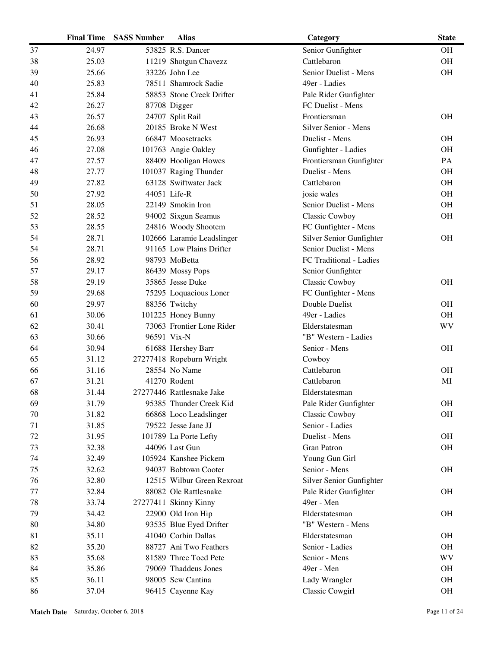|    | <b>Final Time</b> | <b>SASS Number</b> | <b>Alias</b>               | Category                 | <b>State</b> |
|----|-------------------|--------------------|----------------------------|--------------------------|--------------|
| 37 | 24.97             |                    | 53825 R.S. Dancer          | Senior Gunfighter        | <b>OH</b>    |
| 38 | 25.03             |                    | 11219 Shotgun Chavezz      | Cattlebaron              | OH           |
| 39 | 25.66             |                    | 33226 John Lee             | Senior Duelist - Mens    | <b>OH</b>    |
| 40 | 25.83             |                    | 78511 Shamrock Sadie       | 49er - Ladies            |              |
| 41 | 25.84             |                    | 58853 Stone Creek Drifter  | Pale Rider Gunfighter    |              |
| 42 | 26.27             |                    | 87708 Digger               | FC Duelist - Mens        |              |
| 43 | 26.57             |                    | 24707 Split Rail           | Frontiersman             | <b>OH</b>    |
| 44 | 26.68             |                    | 20185 Broke N West         | Silver Senior - Mens     |              |
| 45 | 26.93             |                    | 66847 Moosetracks          | Duelist - Mens           | <b>OH</b>    |
| 46 | 27.08             |                    | 101763 Angie Oakley        | Gunfighter - Ladies      | <b>OH</b>    |
| 47 | 27.57             |                    | 88409 Hooligan Howes       | Frontiersman Gunfighter  | PA           |
| 48 | 27.77             |                    | 101037 Raging Thunder      | Duelist - Mens           | <b>OH</b>    |
| 49 | 27.82             |                    | 63128 Swiftwater Jack      | Cattlebaron              | <b>OH</b>    |
| 50 | 27.92             |                    | 44051 Life-R               | josie wales              | OH           |
| 51 | 28.05             |                    | 22149 Smokin Iron          | Senior Duelist - Mens    | <b>OH</b>    |
| 52 | 28.52             |                    | 94002 Sixgun Seamus        | Classic Cowboy           | <b>OH</b>    |
| 53 | 28.55             |                    | 24816 Woody Shootem        | FC Gunfighter - Mens     |              |
| 54 | 28.71             |                    | 102666 Laramie Leadslinger | Silver Senior Gunfighter | <b>OH</b>    |
| 54 | 28.71             |                    | 91165 Low Plains Drifter   | Senior Duelist - Mens    |              |
| 56 | 28.92             |                    | 98793 MoBetta              | FC Traditional - Ladies  |              |
| 57 | 29.17             |                    | 86439 Mossy Pops           | Senior Gunfighter        |              |
| 58 | 29.19             |                    | 35865 Jesse Duke           | Classic Cowboy           | <b>OH</b>    |
| 59 | 29.68             |                    | 75295 Loquacious Loner     | FC Gunfighter - Mens     |              |
| 60 | 29.97             |                    | 88356 Twitchy              | Double Duelist           | <b>OH</b>    |
| 61 | 30.06             |                    | 101225 Honey Bunny         | 49er - Ladies            | <b>OH</b>    |
| 62 | 30.41             |                    | 73063 Frontier Lone Rider  | Elderstatesman           | <b>WV</b>    |
| 63 | 30.66             |                    | 96591 Vix-N                | "B" Western - Ladies     |              |
| 64 | 30.94             |                    | 61688 Hershey Barr         | Senior - Mens            | <b>OH</b>    |
| 65 | 31.12             |                    | 27277418 Ropeburn Wright   | Cowboy                   |              |
| 66 | 31.16             |                    | 28554 No Name              | Cattlebaron              | <b>OH</b>    |
| 67 | 31.21             |                    | 41270 Rodent               | Cattlebaron              | MI           |
| 68 | 31.44             |                    | 27277446 Rattlesnake Jake  | Elderstatesman           |              |
| 69 | 31.79             |                    | 95385 Thunder Creek Kid    | Pale Rider Gunfighter    | <b>OH</b>    |
| 70 | 31.82             |                    | 66868 Loco Leadslinger     | Classic Cowboy           | <b>OH</b>    |
| 71 | 31.85             |                    | 79522 Jesse Jane JJ        | Senior - Ladies          |              |
| 72 | 31.95             |                    | 101789 La Porte Lefty      | Duelist - Mens           | <b>OH</b>    |
| 73 | 32.38             |                    | 44096 Last Gun             | <b>Gran Patron</b>       | <b>OH</b>    |
| 74 | 32.49             |                    | 105924 Kanshee Pickem      | Young Gun Girl           |              |
| 75 | 32.62             |                    | 94037 Bobtown Cooter       | Senior - Mens            | <b>OH</b>    |
| 76 | 32.80             |                    | 12515 Wilbur Green Rexroat | Silver Senior Gunfighter |              |
| 77 | 32.84             |                    | 88082 Ole Rattlesnake      | Pale Rider Gunfighter    | <b>OH</b>    |
| 78 | 33.74             |                    | 27277411 Skinny Kinny      | 49er - Men               |              |
| 79 | 34.42             |                    | 22900 Old Iron Hip         | Elderstatesman           | <b>OH</b>    |
| 80 | 34.80             |                    | 93535 Blue Eyed Drifter    | "B" Western - Mens       |              |
| 81 | 35.11             |                    | 41040 Corbin Dallas        | Elderstatesman           | <b>OH</b>    |
| 82 | 35.20             |                    | 88727 Ani Two Feathers     | Senior - Ladies          | <b>OH</b>    |
| 83 | 35.68             |                    | 81589 Three Toed Pete      | Senior - Mens            | WV           |
| 84 | 35.86             |                    | 79069 Thaddeus Jones       | 49er - Men               | <b>OH</b>    |
| 85 | 36.11             |                    | 98005 Sew Cantina          | Lady Wrangler            | <b>OH</b>    |
| 86 | 37.04             |                    | 96415 Cayenne Kay          | Classic Cowgirl          | $\rm OH$     |
|    |                   |                    |                            |                          |              |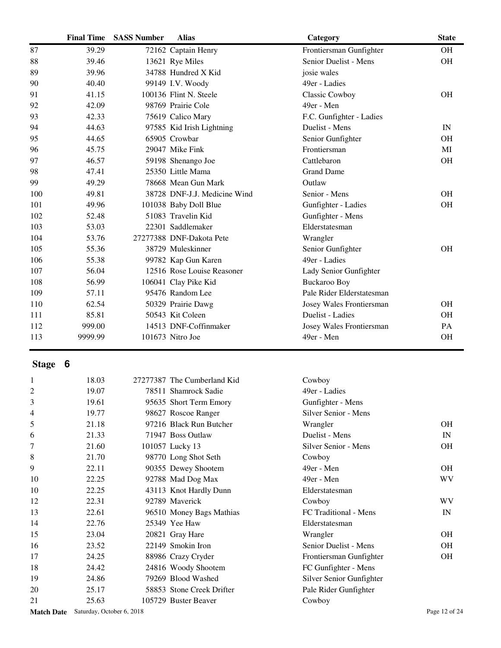|         | <b>Final Time</b> | <b>SASS Number</b> | <b>Alias</b>                 | Category                  | <b>State</b>             |
|---------|-------------------|--------------------|------------------------------|---------------------------|--------------------------|
| 87      | 39.29             |                    | 72162 Captain Henry          | Frontiersman Gunfighter   | <b>OH</b>                |
| 88      | 39.46             |                    | 13621 Rye Miles              | Senior Duelist - Mens     | <b>OH</b>                |
| 89      | 39.96             |                    | 34788 Hundred X Kid          | josie wales               |                          |
| 90      | 40.40             |                    | 99149 I.V. Woody             | 49er - Ladies             |                          |
| 91      | 41.15             |                    | 100136 Flint N. Steele       | <b>Classic Cowboy</b>     | <b>OH</b>                |
| 92      | 42.09             |                    | 98769 Prairie Cole           | 49er - Men                |                          |
| 93      | 42.33             |                    | 75619 Calico Mary            | F.C. Gunfighter - Ladies  |                          |
| 94      | 44.63             |                    | 97585 Kid Irish Lightning    | Duelist - Mens            | IN                       |
| 95      | 44.65             |                    | 65905 Crowbar                | Senior Gunfighter         | <b>OH</b>                |
| 96      | 45.75             |                    | 29047 Mike Fink              | Frontiersman              | MI                       |
| 97      | 46.57             |                    | 59198 Shenango Joe           | Cattlebaron               | OH                       |
| 98      | 47.41             |                    | 25350 Little Mama            | <b>Grand Dame</b>         |                          |
| 99      | 49.29             |                    | 78668 Mean Gun Mark          | Outlaw                    |                          |
| 100     | 49.81             |                    | 38728 DNF-J.J. Medicine Wind | Senior - Mens             | <b>OH</b>                |
| 101     | 49.96             |                    | 101038 Baby Doll Blue        | Gunfighter - Ladies       | OH                       |
| 102     | 52.48             |                    | 51083 Travelin Kid           | Gunfighter - Mens         |                          |
| 103     | 53.03             |                    | 22301 Saddlemaker            | Elderstatesman            |                          |
| 104     | 53.76             |                    | 27277388 DNF-Dakota Pete     | Wrangler                  |                          |
| 105     | 55.36             |                    | 38729 Muleskinner            | Senior Gunfighter         | <b>OH</b>                |
| 106     | 55.38             |                    | 99782 Kap Gun Karen          | 49er - Ladies             |                          |
| 107     | 56.04             |                    | 12516 Rose Louise Reasoner   | Lady Senior Gunfighter    |                          |
| 108     | 56.99             |                    | 106041 Clay Pike Kid         | <b>Buckaroo Boy</b>       |                          |
| 109     | 57.11             |                    | 95476 Random Lee             | Pale Rider Elderstatesman |                          |
| 110     | 62.54             |                    | 50329 Prairie Dawg           | Josey Wales Frontiersman  | <b>OH</b>                |
| 111     | 85.81             |                    | 50543 Kit Coleen             | Duelist - Ladies          | <b>OH</b>                |
| 112     | 999.00            |                    | 14513 DNF-Coffinmaker        | Josey Wales Frontiersman  | PA                       |
| 113     | 9999.99           |                    | 101673 Nitro Joe             | 49er - Men                | OH                       |
| Stage 6 |                   |                    |                              |                           |                          |
|         |                   |                    |                              |                           |                          |
| 1       | 18.03             |                    | 27277387 The Cumberland Kid  | Cowboy                    |                          |
| 2       | 19.07             |                    | 78511 Shamrock Sadie         | 49er - Ladies             |                          |
| 3       | 19.61             |                    | 95635 Short Term Emory       | Gunfighter - Mens         |                          |
| 4       | 19.77             |                    | 98627 Roscoe Ranger          | Silver Senior - Mens      |                          |
| 5       | 21.18             |                    | 97216 Black Run Butcher      | Wrangler                  | <b>OH</b>                |
| 6       | 21.33             |                    | 71947 Boss Outlaw            | Duelist - Mens            | $\ensuremath{\text{IN}}$ |
| 7       | 21.60             |                    | 101057 Lucky 13              | Silver Senior - Mens      | OH                       |
| 8       | 21.70             |                    | 98770 Long Shot Seth         | Cowboy                    |                          |
| 9       | 22.11             |                    | 90355 Dewey Shootem          | 49er - Men                | <b>OH</b>                |
| 10      | 22.25             |                    | 92788 Mad Dog Max            | 49er - Men                | <b>WV</b>                |
| 10      | 22.25             |                    | 43113 Knot Hardly Dunn       | Elderstatesman            |                          |
| 12      | 22.31             |                    | 92789 Maverick               | Cowboy                    | <b>WV</b>                |
| 13      | 22.61             |                    | 96510 Money Bags Mathias     | FC Traditional - Mens     | IN                       |
| 14      | 22.76             |                    | 25349 Yee Haw                | Elderstatesman            |                          |
| 15      | 23.04             |                    | 20821 Gray Hare              | Wrangler                  | OH                       |
| 16      | 23.52             |                    | 22149 Smokin Iron            | Senior Duelist - Mens     | <b>OH</b>                |
| 17      | 24.25             |                    | 88986 Crazy Cryder           | Frontiersman Gunfighter   | OH                       |
| 18      | 24.42             |                    | 24816 Woody Shootem          | FC Gunfighter - Mens      |                          |
| 19      | 24.86             |                    | 79269 Blood Washed           | Silver Senior Gunfighter  |                          |
| 20      | 25.17             |                    | 58853 Stone Creek Drifter    | Pale Rider Gunfighter     |                          |
| 21      | 25.63             |                    | 105729 Buster Beaver         | Cowboy                    |                          |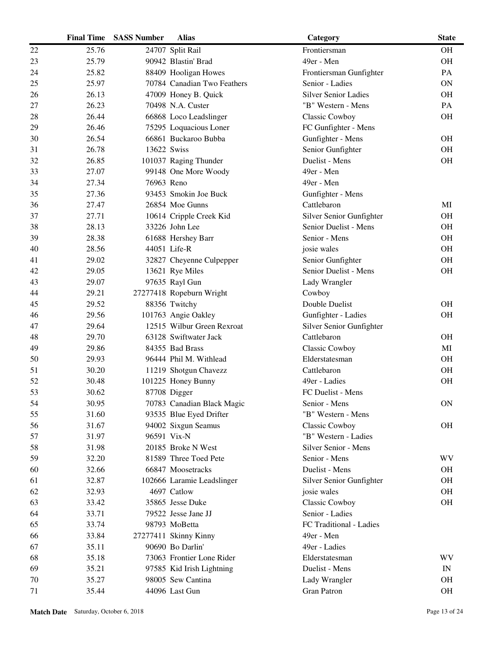|    | <b>Final Time</b> | <b>SASS Number</b> | <b>Alias</b>                | Category                    | <b>State</b> |
|----|-------------------|--------------------|-----------------------------|-----------------------------|--------------|
| 22 | 25.76             |                    | 24707 Split Rail            | Frontiersman                | <b>OH</b>    |
| 23 | 25.79             |                    | 90942 Blastin' Brad         | 49er - Men                  | <b>OH</b>    |
| 24 | 25.82             |                    | 88409 Hooligan Howes        | Frontiersman Gunfighter     | PA           |
| 25 | 25.97             |                    | 70784 Canadian Two Feathers | Senior - Ladies             | <b>ON</b>    |
| 26 | 26.13             |                    | 47009 Honey B. Quick        | <b>Silver Senior Ladies</b> | <b>OH</b>    |
| 27 | 26.23             |                    | 70498 N.A. Custer           | "B" Western - Mens          | PA           |
| 28 | 26.44             |                    | 66868 Loco Leadslinger      | <b>Classic Cowboy</b>       | <b>OH</b>    |
| 29 | 26.46             |                    | 75295 Loquacious Loner      | FC Gunfighter - Mens        |              |
| 30 | 26.54             |                    | 66861 Buckaroo Bubba        | Gunfighter - Mens           | <b>OH</b>    |
| 31 | 26.78             | 13622 Swiss        |                             | Senior Gunfighter           | <b>OH</b>    |
| 32 | 26.85             |                    | 101037 Raging Thunder       | Duelist - Mens              | <b>OH</b>    |
| 33 | 27.07             |                    | 99148 One More Woody        | 49er - Men                  |              |
| 34 | 27.34             | 76963 Reno         |                             | 49er - Men                  |              |
| 35 | 27.36             |                    | 93453 Smokin Joe Buck       | Gunfighter - Mens           |              |
| 36 | 27.47             |                    | 26854 Moe Gunns             | Cattlebaron                 | MI           |
| 37 | 27.71             |                    | 10614 Cripple Creek Kid     | Silver Senior Gunfighter    | <b>OH</b>    |
| 38 | 28.13             |                    | 33226 John Lee              | Senior Duelist - Mens       | <b>OH</b>    |
| 39 | 28.38             |                    | 61688 Hershey Barr          | Senior - Mens               | <b>OH</b>    |
| 40 | 28.56             |                    | 44051 Life-R                | josie wales                 | <b>OH</b>    |
| 41 | 29.02             |                    | 32827 Cheyenne Culpepper    | Senior Gunfighter           | <b>OH</b>    |
| 42 | 29.05             |                    | 13621 Rye Miles             | Senior Duelist - Mens       | <b>OH</b>    |
| 43 | 29.07             |                    | 97635 Rayl Gun              | Lady Wrangler               |              |
| 44 | 29.21             |                    | 27277418 Ropeburn Wright    | Cowboy                      |              |
| 45 | 29.52             |                    | 88356 Twitchy               | Double Duelist              | <b>OH</b>    |
| 46 | 29.56             |                    | 101763 Angie Oakley         | Gunfighter - Ladies         | <b>OH</b>    |
| 47 | 29.64             |                    | 12515 Wilbur Green Rexroat  | Silver Senior Gunfighter    |              |
| 48 | 29.70             |                    | 63128 Swiftwater Jack       | Cattlebaron                 | <b>OH</b>    |
| 49 | 29.86             |                    | 84355 Bad Brass             | <b>Classic Cowboy</b>       | MI           |
| 50 | 29.93             |                    | 96444 Phil M. Withlead      | Elderstatesman              | <b>OH</b>    |
| 51 | 30.20             |                    | 11219 Shotgun Chavezz       | Cattlebaron                 | <b>OH</b>    |
| 52 | 30.48             |                    | 101225 Honey Bunny          | 49er - Ladies               | <b>OH</b>    |
| 53 | 30.62             |                    | 87708 Digger                | FC Duelist - Mens           |              |
| 54 | 30.95             |                    | 70783 Canadian Black Magic  | Senior - Mens               | ON           |
| 55 | 31.60             |                    | 93535 Blue Eyed Drifter     | "B" Western - Mens          |              |
| 56 | 31.67             |                    | 94002 Sixgun Seamus         | <b>Classic Cowboy</b>       | <b>OH</b>    |
| 57 | 31.97             |                    | 96591 Vix-N                 | "B" Western - Ladies        |              |
| 58 | 31.98             |                    | 20185 Broke N West          | Silver Senior - Mens        |              |
| 59 | 32.20             |                    | 81589 Three Toed Pete       | Senior - Mens               | WV           |
| 60 | 32.66             |                    | 66847 Moosetracks           | Duelist - Mens              | <b>OH</b>    |
| 61 | 32.87             |                    | 102666 Laramie Leadslinger  | Silver Senior Gunfighter    | <b>OH</b>    |
| 62 | 32.93             |                    | 4697 Catlow                 | josie wales                 | <b>OH</b>    |
| 63 | 33.42             |                    | 35865 Jesse Duke            | <b>Classic Cowboy</b>       | $\rm OH$     |
| 64 | 33.71             |                    | 79522 Jesse Jane JJ         | Senior - Ladies             |              |
| 65 | 33.74             |                    | 98793 MoBetta               | FC Traditional - Ladies     |              |
| 66 | 33.84             |                    | 27277411 Skinny Kinny       | 49er - Men                  |              |
| 67 | 35.11             |                    | 90690 Bo Darlin'            | 49er - Ladies               |              |
| 68 | 35.18             |                    | 73063 Frontier Lone Rider   | Elderstatesman              | WV           |
| 69 | 35.21             |                    | 97585 Kid Irish Lightning   | Duelist - Mens              | IN           |
| 70 | 35.27             |                    | 98005 Sew Cantina           | Lady Wrangler               | <b>OH</b>    |
| 71 | 35.44             |                    | 44096 Last Gun              | <b>Gran Patron</b>          | OH           |
|    |                   |                    |                             |                             |              |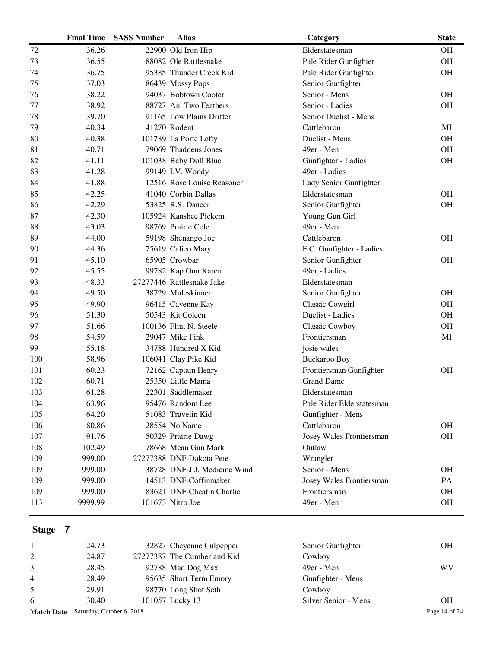|     | <b>Final Time</b> | <b>SASS Number</b> | <b>Alias</b>                 | Category                  | <b>State</b> |
|-----|-------------------|--------------------|------------------------------|---------------------------|--------------|
| 72  | 36.26             |                    | 22900 Old Iron Hip           | Elderstatesman            | <b>OH</b>    |
| 73  | 36.55             |                    | 88082 Ole Rattlesnake        | Pale Rider Gunfighter     | <b>OH</b>    |
| 74  | 36.75             |                    | 95385 Thunder Creek Kid      | Pale Rider Gunfighter     | <b>OH</b>    |
| 75  | 37.03             |                    | 86439 Mossy Pops             | Senior Gunfighter         |              |
| 76  | 38.22             |                    | 94037 Bobtown Cooter         | Senior - Mens             | <b>OH</b>    |
| 77  | 38.92             |                    | 88727 Ani Two Feathers       | Senior - Ladies           | <b>OH</b>    |
| 78  | 39.70             |                    | 91165 Low Plains Drifter     | Senior Duelist - Mens     |              |
| 79  | 40.34             |                    | 41270 Rodent                 | Cattlebaron               | MI           |
| 80  | 40.38             |                    | 101789 La Porte Lefty        | Duelist - Mens            | <b>OH</b>    |
| 81  | 40.71             |                    | 79069 Thaddeus Jones         | 49er - Men                | <b>OH</b>    |
| 82  | 41.11             |                    | 101038 Baby Doll Blue        | Gunfighter - Ladies       | <b>OH</b>    |
| 83  | 41.28             |                    | 99149 I.V. Woody             | 49er - Ladies             |              |
| 84  | 41.88             |                    | 12516 Rose Louise Reasoner   | Lady Senior Gunfighter    |              |
| 85  | 42.25             |                    | 41040 Corbin Dallas          | Elderstatesman            | <b>OH</b>    |
| 86  | 42.29             |                    | 53825 R.S. Dancer            | Senior Gunfighter         | <b>OH</b>    |
| 87  | 42.30             |                    | 105924 Kanshee Pickem        | Young Gun Girl            |              |
| 88  | 43.03             |                    | 98769 Prairie Cole           | 49er - Men                |              |
| 89  | 44.00             |                    | 59198 Shenango Joe           | Cattlebaron               | <b>OH</b>    |
| 90  | 44.36             |                    | 75619 Calico Mary            | F.C. Gunfighter - Ladies  |              |
| 91  | 45.10             |                    | 65905 Crowbar                | Senior Gunfighter         | <b>OH</b>    |
| 92  | 45.55             |                    | 99782 Kap Gun Karen          | 49er - Ladies             |              |
| 93  | 48.33             |                    | 27277446 Rattlesnake Jake    | Elderstatesman            |              |
| 94  | 49.50             |                    | 38729 Muleskinner            | Senior Gunfighter         | <b>OH</b>    |
| 95  | 49.90             |                    | 96415 Cayenne Kay            | <b>Classic Cowgirl</b>    | <b>OH</b>    |
| 96  | 51.30             |                    | 50543 Kit Coleen             | Duelist - Ladies          | <b>OH</b>    |
| 97  | 51.66             |                    | 100136 Flint N. Steele       | Classic Cowboy            | <b>OH</b>    |
| 98  | 54.59             |                    | 29047 Mike Fink              | Frontiersman              | MI           |
| 99  | 55.18             |                    | 34788 Hundred X Kid          | josie wales               |              |
| 100 | 58.96             |                    | 106041 Clay Pike Kid         | <b>Buckaroo Boy</b>       |              |
| 101 | 60.23             |                    | 72162 Captain Henry          | Frontiersman Gunfighter   | <b>OH</b>    |
| 102 | 60.71             |                    | 25350 Little Mama            | <b>Grand Dame</b>         |              |
| 103 | 61.28             |                    | 22301 Saddlemaker            | Elderstatesman            |              |
| 104 | 63.96             |                    | 95476 Random Lee             | Pale Rider Elderstatesman |              |
| 105 | 64.20             |                    | 51083 Travelin Kid           | Gunfighter - Mens         |              |
| 106 | 80.86             |                    | 28554 No Name                | Cattlebaron               | <b>OH</b>    |
| 107 | 91.76             |                    | 50329 Prairie Dawg           | Josey Wales Frontiersman  | OH           |
| 108 | 102.49            |                    | 78668 Mean Gun Mark          | Outlaw                    |              |
| 109 | 999.00            |                    | 27277388 DNF-Dakota Pete     | Wrangler                  |              |
| 109 | 999.00            |                    | 38728 DNF-J.J. Medicine Wind | Senior - Mens             | <b>OH</b>    |
| 109 | 999.00            |                    | 14513 DNF-Coffinmaker        | Josey Wales Frontiersman  | PA           |
| 109 | 999.00            |                    | 83621 DNF-Cheatin Charlie    | Frontiersman              | <b>OH</b>    |
| 113 | 9999.99           |                    | 101673 Nitro Joe             | 49er - Men                | <b>OH</b>    |

|                   | 24.73                     | 32827 Cheyenne Culpepper    | Senior Gunfighter    | OН            |
|-------------------|---------------------------|-----------------------------|----------------------|---------------|
| 2                 | 24.87                     | 27277387 The Cumberland Kid | Cowboy               |               |
| 3                 | 28.45                     | 92788 Mad Dog Max           | 49er - Men           | WV            |
| $\overline{4}$    | 28.49                     | 95635 Short Term Emory      | Gunfighter - Mens    |               |
| .5                | 29.91                     | 98770 Long Shot Seth        | Cowboy               |               |
| 6                 | 30.40                     | 101057 Lucky 13             | Silver Senior - Mens | OН            |
| <b>Match Date</b> | Saturday, October 6, 2018 |                             |                      | Page 14 of 24 |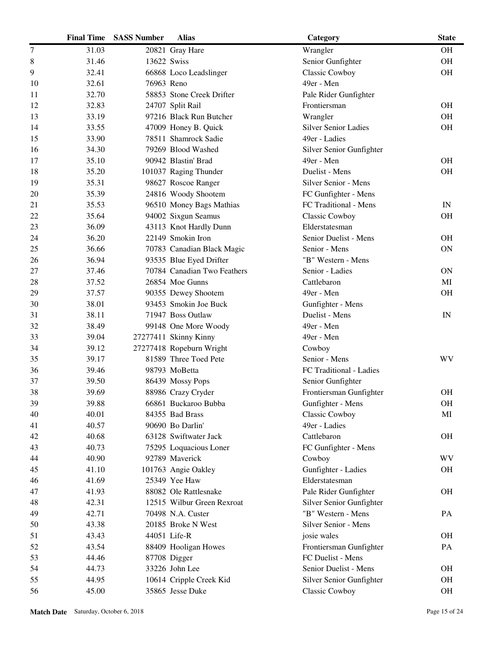|    | <b>Final Time</b> | <b>SASS Number</b> | <b>Alias</b>                | Category                    | <b>State</b>             |
|----|-------------------|--------------------|-----------------------------|-----------------------------|--------------------------|
| 7  | 31.03             |                    | 20821 Gray Hare             | Wrangler                    | <b>OH</b>                |
| 8  | 31.46             | 13622 Swiss        |                             | Senior Gunfighter           | <b>OH</b>                |
| 9  | 32.41             |                    | 66868 Loco Leadslinger      | Classic Cowboy              | <b>OH</b>                |
| 10 | 32.61             | 76963 Reno         |                             | 49er - Men                  |                          |
| 11 | 32.70             |                    | 58853 Stone Creek Drifter   | Pale Rider Gunfighter       |                          |
| 12 | 32.83             |                    | 24707 Split Rail            | Frontiersman                | <b>OH</b>                |
| 13 | 33.19             |                    | 97216 Black Run Butcher     | Wrangler                    | <b>OH</b>                |
| 14 | 33.55             |                    | 47009 Honey B. Quick        | <b>Silver Senior Ladies</b> | <b>OH</b>                |
| 15 | 33.90             |                    | 78511 Shamrock Sadie        | 49er - Ladies               |                          |
| 16 | 34.30             |                    | 79269 Blood Washed          | Silver Senior Gunfighter    |                          |
| 17 | 35.10             |                    | 90942 Blastin' Brad         | 49er - Men                  | <b>OH</b>                |
| 18 | 35.20             |                    | 101037 Raging Thunder       | Duelist - Mens              | <b>OH</b>                |
| 19 | 35.31             |                    | 98627 Roscoe Ranger         | Silver Senior - Mens        |                          |
| 20 | 35.39             |                    | 24816 Woody Shootem         | FC Gunfighter - Mens        |                          |
| 21 | 35.53             |                    | 96510 Money Bags Mathias    | FC Traditional - Mens       | $\ensuremath{\text{IN}}$ |
| 22 | 35.64             |                    | 94002 Sixgun Seamus         | Classic Cowboy              | <b>OH</b>                |
| 23 | 36.09             |                    | 43113 Knot Hardly Dunn      | Elderstatesman              |                          |
| 24 | 36.20             |                    | 22149 Smokin Iron           | Senior Duelist - Mens       | <b>OH</b>                |
| 25 | 36.66             |                    | 70783 Canadian Black Magic  | Senior - Mens               | <b>ON</b>                |
| 26 | 36.94             |                    | 93535 Blue Eyed Drifter     | "B" Western - Mens          |                          |
| 27 | 37.46             |                    | 70784 Canadian Two Feathers | Senior - Ladies             | <b>ON</b>                |
| 28 | 37.52             |                    | 26854 Moe Gunns             | Cattlebaron                 | MI                       |
| 29 | 37.57             |                    | 90355 Dewey Shootem         | 49er - Men                  | <b>OH</b>                |
| 30 | 38.01             |                    | 93453 Smokin Joe Buck       | Gunfighter - Mens           |                          |
| 31 | 38.11             |                    | 71947 Boss Outlaw           | Duelist - Mens              | $\ensuremath{\text{IN}}$ |
| 32 | 38.49             |                    | 99148 One More Woody        | 49er - Men                  |                          |
| 33 | 39.04             |                    | 27277411 Skinny Kinny       | 49er - Men                  |                          |
| 34 | 39.12             |                    | 27277418 Ropeburn Wright    | Cowboy                      |                          |
| 35 | 39.17             |                    | 81589 Three Toed Pete       | Senior - Mens               | WV                       |
| 36 | 39.46             |                    | 98793 MoBetta               | FC Traditional - Ladies     |                          |
| 37 | 39.50             |                    | 86439 Mossy Pops            | Senior Gunfighter           |                          |
| 38 | 39.69             |                    | 88986 Crazy Cryder          | Frontiersman Gunfighter     | <b>OH</b>                |
| 39 | 39.88             |                    | 66861 Buckaroo Bubba        | Gunfighter - Mens           | <b>OH</b>                |
| 40 | 40.01             |                    | 84355 Bad Brass             | Classic Cowboy              | MI                       |
| 41 | 40.57             |                    | 90690 Bo Darlin'            | 49er - Ladies               |                          |
| 42 | 40.68             |                    | 63128 Swiftwater Jack       | Cattlebaron                 | <b>OH</b>                |
| 43 | 40.73             |                    | 75295 Loquacious Loner      | FC Gunfighter - Mens        |                          |
| 44 | 40.90             |                    | 92789 Maverick              | Cowboy                      | <b>WV</b>                |
| 45 | 41.10             |                    | 101763 Angie Oakley         | Gunfighter - Ladies         | OH                       |
| 46 | 41.69             |                    | 25349 Yee Haw               | Elderstatesman              |                          |
| 47 | 41.93             |                    | 88082 Ole Rattlesnake       | Pale Rider Gunfighter       | <b>OH</b>                |
| 48 | 42.31             |                    | 12515 Wilbur Green Rexroat  | Silver Senior Gunfighter    |                          |
| 49 | 42.71             |                    | 70498 N.A. Custer           | "B" Western - Mens          | PA                       |
| 50 | 43.38             |                    | 20185 Broke N West          | Silver Senior - Mens        |                          |
| 51 | 43.43             |                    | 44051 Life-R                | josie wales                 | <b>OH</b>                |
| 52 | 43.54             |                    | 88409 Hooligan Howes        | Frontiersman Gunfighter     | PA                       |
| 53 | 44.46             |                    | 87708 Digger                | FC Duelist - Mens           |                          |
| 54 | 44.73             |                    | 33226 John Lee              | Senior Duelist - Mens       | <b>OH</b>                |
| 55 | 44.95             |                    | 10614 Cripple Creek Kid     | Silver Senior Gunfighter    | <b>OH</b>                |
| 56 | 45.00             |                    | 35865 Jesse Duke            | Classic Cowboy              | <b>OH</b>                |
|    |                   |                    |                             |                             |                          |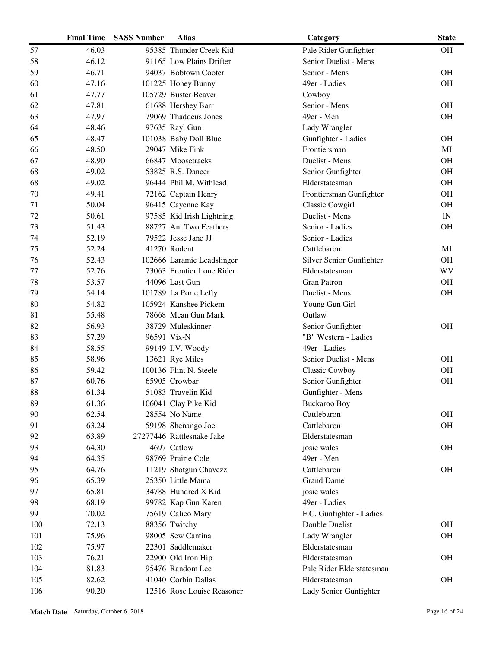|     | <b>Final Time</b> | <b>SASS Number</b> | <b>Alias</b>               | Category                  | <b>State</b>             |
|-----|-------------------|--------------------|----------------------------|---------------------------|--------------------------|
| 57  | 46.03             |                    | 95385 Thunder Creek Kid    | Pale Rider Gunfighter     | <b>OH</b>                |
| 58  | 46.12             |                    | 91165 Low Plains Drifter   | Senior Duelist - Mens     |                          |
| 59  | 46.71             |                    | 94037 Bobtown Cooter       | Senior - Mens             | <b>OH</b>                |
| 60  | 47.16             |                    | 101225 Honey Bunny         | 49er - Ladies             | <b>OH</b>                |
| 61  | 47.77             |                    | 105729 Buster Beaver       | Cowboy                    |                          |
| 62  | 47.81             |                    | 61688 Hershey Barr         | Senior - Mens             | <b>OH</b>                |
| 63  | 47.97             |                    | 79069 Thaddeus Jones       | 49er - Men                | <b>OH</b>                |
| 64  | 48.46             |                    | 97635 Rayl Gun             | Lady Wrangler             |                          |
| 65  | 48.47             |                    | 101038 Baby Doll Blue      | Gunfighter - Ladies       | <b>OH</b>                |
| 66  | 48.50             |                    | 29047 Mike Fink            | Frontiersman              | MI                       |
| 67  | 48.90             |                    | 66847 Moosetracks          | Duelist - Mens            | <b>OH</b>                |
| 68  | 49.02             |                    | 53825 R.S. Dancer          | Senior Gunfighter         | <b>OH</b>                |
| 68  | 49.02             |                    | 96444 Phil M. Withlead     | Elderstatesman            | <b>OH</b>                |
| 70  | 49.41             |                    | 72162 Captain Henry        | Frontiersman Gunfighter   | <b>OH</b>                |
| 71  | 50.04             |                    | 96415 Cayenne Kay          | <b>Classic Cowgirl</b>    | <b>OH</b>                |
| 72  | 50.61             |                    | 97585 Kid Irish Lightning  | Duelist - Mens            | $\ensuremath{\text{IN}}$ |
| 73  | 51.43             |                    | 88727 Ani Two Feathers     | Senior - Ladies           | <b>OH</b>                |
| 74  | 52.19             |                    | 79522 Jesse Jane JJ        | Senior - Ladies           |                          |
| 75  | 52.24             |                    | 41270 Rodent               | Cattlebaron               | MI                       |
| 76  | 52.43             |                    | 102666 Laramie Leadslinger | Silver Senior Gunfighter  | <b>OH</b>                |
| 77  | 52.76             |                    | 73063 Frontier Lone Rider  | Elderstatesman            | WV                       |
| 78  | 53.57             |                    | 44096 Last Gun             | <b>Gran Patron</b>        | <b>OH</b>                |
| 79  | 54.14             |                    | 101789 La Porte Lefty      | Duelist - Mens            | <b>OH</b>                |
| 80  | 54.82             |                    | 105924 Kanshee Pickem      | Young Gun Girl            |                          |
| 81  | 55.48             |                    | 78668 Mean Gun Mark        | Outlaw                    |                          |
| 82  | 56.93             |                    | 38729 Muleskinner          | Senior Gunfighter         | <b>OH</b>                |
| 83  | 57.29             |                    | 96591 Vix-N                | "B" Western - Ladies      |                          |
| 84  | 58.55             |                    | 99149 I.V. Woody           | 49er - Ladies             |                          |
| 85  | 58.96             |                    | 13621 Rye Miles            | Senior Duelist - Mens     | <b>OH</b>                |
| 86  | 59.42             |                    | 100136 Flint N. Steele     | <b>Classic Cowboy</b>     | <b>OH</b>                |
| 87  | 60.76             |                    | 65905 Crowbar              | Senior Gunfighter         | <b>OH</b>                |
| 88  | 61.34             |                    | 51083 Travelin Kid         | Gunfighter - Mens         |                          |
| 89  | 61.36             |                    | 106041 Clay Pike Kid       | <b>Buckaroo Boy</b>       |                          |
| 90  | 62.54             |                    | 28554 No Name              | Cattlebaron               | <b>OH</b>                |
| 91  | 63.24             |                    | 59198 Shenango Joe         | Cattlebaron               | OH                       |
| 92  | 63.89             |                    | 27277446 Rattlesnake Jake  | Elderstatesman            |                          |
| 93  | 64.30             |                    | 4697 Catlow                | josie wales               | <b>OH</b>                |
| 94  | 64.35             |                    | 98769 Prairie Cole         | 49er - Men                |                          |
| 95  | 64.76             |                    | 11219 Shotgun Chavezz      | Cattlebaron               | <b>OH</b>                |
| 96  | 65.39             |                    | 25350 Little Mama          | <b>Grand Dame</b>         |                          |
| 97  | 65.81             |                    | 34788 Hundred X Kid        | josie wales               |                          |
| 98  | 68.19             |                    | 99782 Kap Gun Karen        | 49er - Ladies             |                          |
| 99  | 70.02             |                    | 75619 Calico Mary          | F.C. Gunfighter - Ladies  |                          |
| 100 | 72.13             |                    | 88356 Twitchy              | Double Duelist            | <b>OH</b>                |
| 101 | 75.96             |                    | 98005 Sew Cantina          | Lady Wrangler             | <b>OH</b>                |
| 102 | 75.97             |                    | 22301 Saddlemaker          | Elderstatesman            |                          |
| 103 | 76.21             |                    | 22900 Old Iron Hip         | Elderstatesman            | <b>OH</b>                |
| 104 | 81.83             |                    | 95476 Random Lee           | Pale Rider Elderstatesman |                          |
| 105 | 82.62             |                    | 41040 Corbin Dallas        | Elderstatesman            | <b>OH</b>                |
| 106 | 90.20             |                    | 12516 Rose Louise Reasoner | Lady Senior Gunfighter    |                          |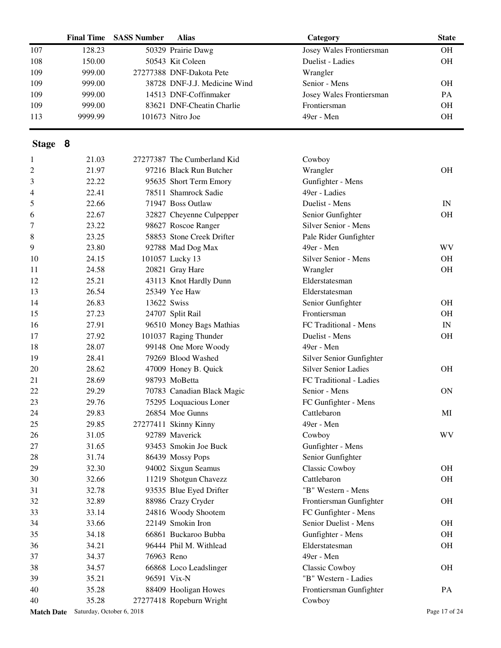|                                      | <b>Final Time</b> | <b>SASS Number</b> | <b>Alias</b>                 | Category                    | <b>State</b>             |
|--------------------------------------|-------------------|--------------------|------------------------------|-----------------------------|--------------------------|
| 107                                  | 128.23            |                    | 50329 Prairie Dawg           | Josey Wales Frontiersman    | <b>OH</b>                |
| 108                                  | 150.00            |                    | 50543 Kit Coleen             | Duelist - Ladies            | OH                       |
| 109                                  | 999.00            |                    | 27277388 DNF-Dakota Pete     | Wrangler                    |                          |
| 109                                  | 999.00            |                    | 38728 DNF-J.J. Medicine Wind | Senior - Mens               | <b>OH</b>                |
| 109                                  | 999.00            |                    | 14513 DNF-Coffinmaker        | Josey Wales Frontiersman    | PA                       |
| 109                                  | 999.00            |                    | 83621 DNF-Cheatin Charlie    | Frontiersman                | <b>OH</b>                |
| 113                                  | 9999.99           |                    | 101673 Nitro Joe             | 49er - Men                  | <b>OH</b>                |
| Stage 8                              |                   |                    |                              |                             |                          |
| 1                                    | 21.03             |                    | 27277387 The Cumberland Kid  | Cowboy                      |                          |
| 2                                    | 21.97             |                    | 97216 Black Run Butcher      | Wrangler                    | <b>OH</b>                |
| 3                                    | 22.22             |                    | 95635 Short Term Emory       | Gunfighter - Mens           |                          |
| 4                                    | 22.41             |                    | 78511 Shamrock Sadie         | 49er - Ladies               |                          |
| 5                                    | 22.66             |                    | 71947 Boss Outlaw            | Duelist - Mens              | IN                       |
| 6                                    | 22.67             |                    | 32827 Cheyenne Culpepper     | Senior Gunfighter           | <b>OH</b>                |
| 7                                    | 23.22             |                    | 98627 Roscoe Ranger          | Silver Senior - Mens        |                          |
| 8                                    | 23.25             |                    | 58853 Stone Creek Drifter    | Pale Rider Gunfighter       |                          |
| 9                                    | 23.80             |                    | 92788 Mad Dog Max            | 49er - Men                  | WV                       |
| 10                                   | 24.15             |                    | 101057 Lucky 13              | Silver Senior - Mens        | <b>OH</b>                |
| 11                                   | 24.58             |                    | 20821 Gray Hare              | Wrangler                    | <b>OH</b>                |
| 12                                   | 25.21             |                    | 43113 Knot Hardly Dunn       | Elderstatesman              |                          |
| 13                                   | 26.54             |                    | 25349 Yee Haw                | Elderstatesman              |                          |
| 14                                   | 26.83             | 13622 Swiss        |                              | Senior Gunfighter           | <b>OH</b>                |
| 15                                   | 27.23             |                    | 24707 Split Rail             | Frontiersman                | <b>OH</b>                |
| 16                                   | 27.91             |                    | 96510 Money Bags Mathias     | FC Traditional - Mens       | $\ensuremath{\text{IN}}$ |
| 17                                   | 27.92             |                    | 101037 Raging Thunder        | Duelist - Mens              | <b>OH</b>                |
| 18                                   | 28.07             |                    | 99148 One More Woody         | 49er - Men                  |                          |
| 19                                   | 28.41             |                    | 79269 Blood Washed           | Silver Senior Gunfighter    |                          |
| 20                                   | 28.62             |                    | 47009 Honey B. Quick         | <b>Silver Senior Ladies</b> | <b>OH</b>                |
| 21                                   | 28.69             |                    | 98793 MoBetta                | FC Traditional - Ladies     |                          |
| 22                                   | 29.29             |                    | 70783 Canadian Black Magic   | Senior - Mens               | <b>ON</b>                |
| 23                                   | 29.76             |                    | 75295 Loquacious Loner       | FC Gunfighter - Mens        |                          |
| 24                                   | 29.83             |                    | 26854 Moe Gunns              | Cattlebaron                 | MI                       |
| 25                                   | 29.85             |                    | 27277411 Skinny Kinny        | 49er - Men                  |                          |
| 26                                   | 31.05             |                    | 92789 Maverick               | Cowboy                      | WV                       |
| 27                                   | 31.65             |                    | 93453 Smokin Joe Buck        | Gunfighter - Mens           |                          |
| 28                                   | 31.74             |                    | 86439 Mossy Pops             | Senior Gunfighter           |                          |
| 29                                   | 32.30             |                    | 94002 Sixgun Seamus          | <b>Classic Cowboy</b>       | <b>OH</b>                |
| 30                                   | 32.66             |                    | 11219 Shotgun Chavezz        | Cattlebaron                 | <b>OH</b>                |
| 31                                   | 32.78             |                    | 93535 Blue Eyed Drifter      | "B" Western - Mens          |                          |
| 32                                   | 32.89             |                    | 88986 Crazy Cryder           | Frontiersman Gunfighter     | <b>OH</b>                |
| 33                                   | 33.14             |                    | 24816 Woody Shootem          | FC Gunfighter - Mens        |                          |
| 34                                   | 33.66             |                    | 22149 Smokin Iron            | Senior Duelist - Mens       | <b>OH</b>                |
|                                      |                   |                    |                              |                             |                          |
| 35                                   | 34.18             |                    | 66861 Buckaroo Bubba         | Gunfighter - Mens           | <b>OH</b>                |
| 36                                   | 34.21             |                    | 96444 Phil M. Withlead       | Elderstatesman              | OH                       |
| 37                                   | 34.37             | 76963 Reno         |                              | 49er - Men                  |                          |
| 38                                   | 34.57             |                    | 66868 Loco Leadslinger       | <b>Classic Cowboy</b>       | $\rm OH$                 |
| 39                                   | 35.21             |                    | 96591 Vix-N                  | "B" Western - Ladies        |                          |
| 40                                   | 35.28             |                    | 88409 Hooligan Howes         | Frontiersman Gunfighter     | PA                       |
| 40                                   | 35.28             |                    | 27277418 Ropeburn Wright     | Cowboy                      |                          |
| Match Date Saturday, October 6, 2018 |                   |                    |                              |                             | Page 17 of 24            |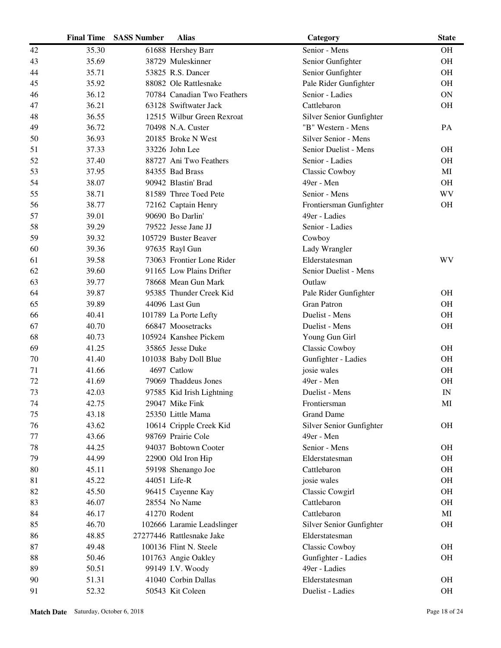|    | <b>Final Time</b> | <b>SASS Number</b> | <b>Alias</b>                | Category                 | <b>State</b> |
|----|-------------------|--------------------|-----------------------------|--------------------------|--------------|
| 42 | 35.30             |                    | 61688 Hershey Barr          | Senior - Mens            | <b>OH</b>    |
| 43 | 35.69             |                    | 38729 Muleskinner           | Senior Gunfighter        | <b>OH</b>    |
| 44 | 35.71             |                    | 53825 R.S. Dancer           | Senior Gunfighter        | <b>OH</b>    |
| 45 | 35.92             |                    | 88082 Ole Rattlesnake       | Pale Rider Gunfighter    | <b>OH</b>    |
| 46 | 36.12             |                    | 70784 Canadian Two Feathers | Senior - Ladies          | <b>ON</b>    |
| 47 | 36.21             |                    | 63128 Swiftwater Jack       | Cattlebaron              | <b>OH</b>    |
| 48 | 36.55             |                    | 12515 Wilbur Green Rexroat  | Silver Senior Gunfighter |              |
| 49 | 36.72             |                    | 70498 N.A. Custer           | "B" Western - Mens       | PA           |
| 50 | 36.93             |                    | 20185 Broke N West          | Silver Senior - Mens     |              |
| 51 | 37.33             |                    | 33226 John Lee              | Senior Duelist - Mens    | <b>OH</b>    |
| 52 | 37.40             |                    | 88727 Ani Two Feathers      | Senior - Ladies          | <b>OH</b>    |
| 53 | 37.95             |                    | 84355 Bad Brass             | <b>Classic Cowboy</b>    | MI           |
| 54 | 38.07             |                    | 90942 Blastin' Brad         | 49er - Men               | <b>OH</b>    |
| 55 | 38.71             |                    | 81589 Three Toed Pete       | Senior - Mens            | <b>WV</b>    |
| 56 | 38.77             |                    | 72162 Captain Henry         | Frontiersman Gunfighter  | <b>OH</b>    |
| 57 | 39.01             |                    | 90690 Bo Darlin'            | 49er - Ladies            |              |
| 58 | 39.29             |                    | 79522 Jesse Jane JJ         | Senior - Ladies          |              |
| 59 | 39.32             |                    | 105729 Buster Beaver        | Cowboy                   |              |
| 60 | 39.36             |                    | 97635 Rayl Gun              | Lady Wrangler            |              |
| 61 | 39.58             |                    | 73063 Frontier Lone Rider   | Elderstatesman           | WV           |
| 62 | 39.60             |                    | 91165 Low Plains Drifter    | Senior Duelist - Mens    |              |
| 63 | 39.77             |                    | 78668 Mean Gun Mark         | Outlaw                   |              |
| 64 | 39.87             |                    | 95385 Thunder Creek Kid     | Pale Rider Gunfighter    | <b>OH</b>    |
| 65 | 39.89             |                    | 44096 Last Gun              | <b>Gran Patron</b>       | <b>OH</b>    |
| 66 | 40.41             |                    | 101789 La Porte Lefty       | Duelist - Mens           | <b>OH</b>    |
| 67 | 40.70             |                    | 66847 Moosetracks           | Duelist - Mens           | OH           |
| 68 | 40.73             |                    | 105924 Kanshee Pickem       | Young Gun Girl           |              |
| 69 | 41.25             |                    | 35865 Jesse Duke            | Classic Cowboy           | <b>OH</b>    |
| 70 | 41.40             |                    | 101038 Baby Doll Blue       | Gunfighter - Ladies      | <b>OH</b>    |
| 71 | 41.66             |                    | 4697 Catlow                 | josie wales              | <b>OH</b>    |
| 72 | 41.69             |                    | 79069 Thaddeus Jones        | 49er - Men               | <b>OH</b>    |
| 73 | 42.03             |                    | 97585 Kid Irish Lightning   | Duelist - Mens           | IN           |
| 74 | 42.75             |                    | 29047 Mike Fink             | Frontiersman             | MI           |
| 75 | 43.18             |                    | 25350 Little Mama           | <b>Grand Dame</b>        |              |
| 76 | 43.62             |                    | 10614 Cripple Creek Kid     | Silver Senior Gunfighter | <b>OH</b>    |
| 77 | 43.66             |                    | 98769 Prairie Cole          | 49er - Men               |              |
| 78 | 44.25             |                    | 94037 Bobtown Cooter        | Senior - Mens            | <b>OH</b>    |
| 79 | 44.99             |                    | 22900 Old Iron Hip          | Elderstatesman           | <b>OH</b>    |
| 80 | 45.11             |                    | 59198 Shenango Joe          | Cattlebaron              | <b>OH</b>    |
| 81 | 45.22             |                    | 44051 Life-R                | josie wales              | <b>OH</b>    |
| 82 | 45.50             |                    | 96415 Cayenne Kay           | <b>Classic Cowgirl</b>   | <b>OH</b>    |
| 83 | 46.07             |                    | 28554 No Name               | Cattlebaron              | <b>OH</b>    |
| 84 | 46.17             |                    | 41270 Rodent                | Cattlebaron              | MI           |
| 85 | 46.70             |                    | 102666 Laramie Leadslinger  | Silver Senior Gunfighter | <b>OH</b>    |
| 86 | 48.85             |                    | 27277446 Rattlesnake Jake   | Elderstatesman           |              |
| 87 | 49.48             |                    | 100136 Flint N. Steele      | Classic Cowboy           | <b>OH</b>    |
| 88 | 50.46             |                    | 101763 Angie Oakley         | Gunfighter - Ladies      | <b>OH</b>    |
| 89 | 50.51             |                    | 99149 I.V. Woody            | 49er - Ladies            |              |
| 90 | 51.31             |                    | 41040 Corbin Dallas         | Elderstatesman           | <b>OH</b>    |
| 91 | 52.32             |                    | 50543 Kit Coleen            | Duelist - Ladies         | $\rm OH$     |
|    |                   |                    |                             |                          |              |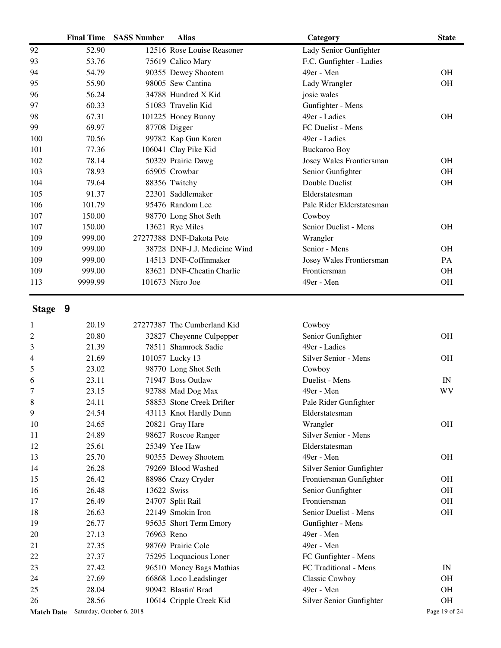|                | <b>Final Time</b> | <b>SASS Number</b> | <b>Alias</b>                 | Category                  | <b>State</b> |
|----------------|-------------------|--------------------|------------------------------|---------------------------|--------------|
| 92             | 52.90             |                    | 12516 Rose Louise Reasoner   | Lady Senior Gunfighter    |              |
| 93             | 53.76             |                    | 75619 Calico Mary            | F.C. Gunfighter - Ladies  |              |
| 94             | 54.79             |                    | 90355 Dewey Shootem          | 49er - Men                | <b>OH</b>    |
| 95             | 55.90             |                    | 98005 Sew Cantina            | Lady Wrangler             | <b>OH</b>    |
| 96             | 56.24             |                    | 34788 Hundred X Kid          | josie wales               |              |
| 97             | 60.33             |                    | 51083 Travelin Kid           | Gunfighter - Mens         |              |
| 98             | 67.31             |                    | 101225 Honey Bunny           | 49er - Ladies             | <b>OH</b>    |
| 99             | 69.97             |                    | 87708 Digger                 | FC Duelist - Mens         |              |
| 100            | 70.56             |                    | 99782 Kap Gun Karen          | 49er - Ladies             |              |
| 101            | 77.36             |                    | 106041 Clay Pike Kid         | <b>Buckaroo Boy</b>       |              |
| 102            | 78.14             |                    | 50329 Prairie Dawg           | Josey Wales Frontiersman  | <b>OH</b>    |
| 103            | 78.93             |                    | 65905 Crowbar                | Senior Gunfighter         | <b>OH</b>    |
| 104            | 79.64             |                    | 88356 Twitchy                | Double Duelist            | <b>OH</b>    |
| 105            | 91.37             |                    | 22301 Saddlemaker            | Elderstatesman            |              |
| 106            | 101.79            |                    | 95476 Random Lee             | Pale Rider Elderstatesman |              |
| 107            | 150.00            |                    | 98770 Long Shot Seth         | Cowboy                    |              |
| 107            | 150.00            |                    | 13621 Rye Miles              | Senior Duelist - Mens     | <b>OH</b>    |
| 109            | 999.00            |                    | 27277388 DNF-Dakota Pete     | Wrangler                  |              |
| 109            | 999.00            |                    | 38728 DNF-J.J. Medicine Wind | Senior - Mens             | <b>OH</b>    |
| 109            | 999.00            |                    | 14513 DNF-Coffinmaker        | Josey Wales Frontiersman  | PA           |
| 109            | 999.00            |                    | 83621 DNF-Cheatin Charlie    | Frontiersman              | OH           |
| 113            | 9999.99           |                    | 101673 Nitro Joe             | 49er - Men                | OH           |
| Stage 9        |                   |                    |                              |                           |              |
| 1              | 20.19             |                    | 27277387 The Cumberland Kid  | Cowboy                    |              |
| $\overline{c}$ | 20.80             |                    | 32827 Cheyenne Culpepper     | Senior Gunfighter         | <b>OH</b>    |
| 3              | 21.39             |                    | 78511 Shamrock Sadie         | 49er - Ladies             |              |
| 4              | 21.69             |                    | 101057 Lucky 13              | Silver Senior - Mens      | <b>OH</b>    |
| 5              | 23.02             |                    | 98770 Long Shot Seth         | Cowboy                    |              |
| 6              | 23.11             |                    | 71947 Boss Outlaw            | Duelist - Mens            | IN           |
| 7              | 23.15             |                    | 92788 Mad Dog Max            | 49er - Men                | WV           |
| 8              | 24.11             |                    | 58853 Stone Creek Drifter    | Pale Rider Gunfighter     |              |
| 9              | 24.54             |                    | 43113 Knot Hardly Dunn       | Elderstatesman            |              |

| 2     | 20.80 | 32827 Cheyenne Culpepper  | Senior Gunfighter        | <b>OH</b> |
|-------|-------|---------------------------|--------------------------|-----------|
| 3     | 21.39 | 78511 Shamrock Sadie      | 49er - Ladies            |           |
| 4     | 21.69 | 101057 Lucky 13           | Silver Senior - Mens     | <b>OH</b> |
| 5     | 23.02 | 98770 Long Shot Seth      | Cowboy                   |           |
| 6     | 23.11 | 71947 Boss Outlaw         | Duelist - Mens           | IN        |
| 7     | 23.15 | 92788 Mad Dog Max         | 49er - Men               | <b>WV</b> |
| $\,8$ | 24.11 | 58853 Stone Creek Drifter | Pale Rider Gunfighter    |           |
| 9     | 24.54 | 43113 Knot Hardly Dunn    | Elderstatesman           |           |
| 10    | 24.65 | 20821 Gray Hare           | Wrangler                 | <b>OH</b> |
| 11    | 24.89 | 98627 Roscoe Ranger       | Silver Senior - Mens     |           |
| 12    | 25.61 | 25349 Yee Haw             | Elderstatesman           |           |
| 13    | 25.70 | 90355 Dewey Shootem       | 49er - Men               | <b>OH</b> |
| 14    | 26.28 | 79269 Blood Washed        | Silver Senior Gunfighter |           |
| 15    | 26.42 | 88986 Crazy Cryder        | Frontiersman Gunfighter  | <b>OH</b> |
| 16    | 26.48 | 13622 Swiss               | Senior Gunfighter        | <b>OH</b> |
| 17    | 26.49 | 24707 Split Rail          | Frontiersman             | <b>OH</b> |
| 18    | 26.63 | 22149 Smokin Iron         | Senior Duelist - Mens    | <b>OH</b> |
| 19    | 26.77 | 95635 Short Term Emory    | Gunfighter - Mens        |           |
| 20    | 27.13 | 76963 Reno                | 49er - Men               |           |
| 21    | 27.35 | 98769 Prairie Cole        | 49er - Men               |           |
| 22    | 27.37 | 75295 Loquacious Loner    | FC Gunfighter - Mens     |           |
| 23    | 27.42 | 96510 Money Bags Mathias  | FC Traditional - Mens    | IN        |
| 24    | 27.69 | 66868 Loco Leadslinger    | Classic Cowboy           | <b>OH</b> |
| 25    | 28.04 | 90942 Blastin' Brad       | 49er - Men               | <b>OH</b> |
| 26    | 28.56 | 10614 Cripple Creek Kid   | Silver Senior Gunfighter | <b>OH</b> |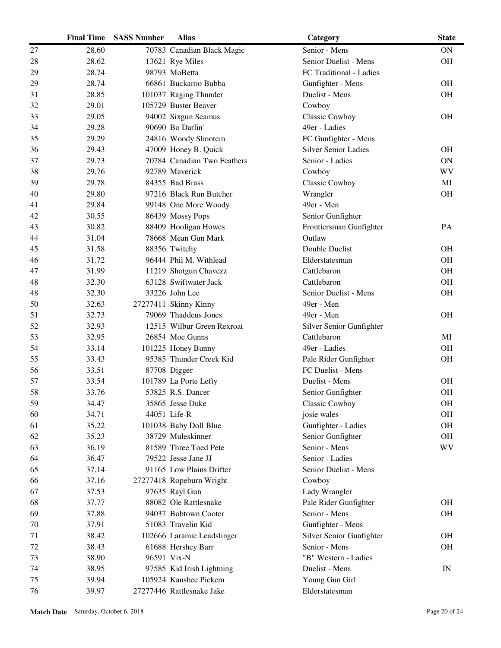|    | <b>Final Time</b> | <b>SASS Number</b> | <b>Alias</b>                | Category                    | <b>State</b>             |
|----|-------------------|--------------------|-----------------------------|-----------------------------|--------------------------|
| 27 | 28.60             |                    | 70783 Canadian Black Magic  | Senior - Mens               | ON                       |
| 28 | 28.62             |                    | 13621 Rye Miles             | Senior Duelist - Mens       | <b>OH</b>                |
| 29 | 28.74             |                    | 98793 MoBetta               | FC Traditional - Ladies     |                          |
| 29 | 28.74             |                    | 66861 Buckaroo Bubba        | Gunfighter - Mens           | <b>OH</b>                |
| 31 | 28.85             |                    | 101037 Raging Thunder       | Duelist - Mens              | <b>OH</b>                |
| 32 | 29.01             |                    | 105729 Buster Beaver        | Cowboy                      |                          |
| 33 | 29.05             |                    | 94002 Sixgun Seamus         | <b>Classic Cowboy</b>       | <b>OH</b>                |
| 34 | 29.28             |                    | 90690 Bo Darlin'            | 49er - Ladies               |                          |
| 35 | 29.29             |                    | 24816 Woody Shootem         | FC Gunfighter - Mens        |                          |
| 36 | 29.43             |                    | 47009 Honey B. Quick        | <b>Silver Senior Ladies</b> | <b>OH</b>                |
| 37 | 29.73             |                    | 70784 Canadian Two Feathers | Senior - Ladies             | ON                       |
| 38 | 29.76             |                    | 92789 Maverick              | Cowboy                      | <b>WV</b>                |
| 39 | 29.78             |                    | 84355 Bad Brass             | <b>Classic Cowboy</b>       | MI                       |
| 40 | 29.80             |                    | 97216 Black Run Butcher     | Wrangler                    | OH                       |
| 41 | 29.84             |                    | 99148 One More Woody        | 49er - Men                  |                          |
| 42 | 30.55             |                    | 86439 Mossy Pops            | Senior Gunfighter           |                          |
| 43 | 30.82             |                    | 88409 Hooligan Howes        | Frontiersman Gunfighter     | <b>PA</b>                |
| 44 | 31.04             |                    | 78668 Mean Gun Mark         | Outlaw                      |                          |
| 45 | 31.58             |                    | 88356 Twitchy               | Double Duelist              | <b>OH</b>                |
| 46 | 31.72             |                    | 96444 Phil M. Withlead      | Elderstatesman              | <b>OH</b>                |
| 47 | 31.99             |                    | 11219 Shotgun Chavezz       | Cattlebaron                 | <b>OH</b>                |
| 48 | 32.30             |                    | 63128 Swiftwater Jack       | Cattlebaron                 | OH                       |
| 48 | 32.30             |                    | 33226 John Lee              | Senior Duelist - Mens       | <b>OH</b>                |
| 50 | 32.63             |                    | 27277411 Skinny Kinny       | 49er - Men                  |                          |
| 51 | 32.73             |                    | 79069 Thaddeus Jones        | 49er - Men                  | <b>OH</b>                |
| 52 | 32.93             |                    | 12515 Wilbur Green Rexroat  | Silver Senior Gunfighter    |                          |
| 53 | 32.95             |                    | 26854 Moe Gunns             | Cattlebaron                 | MI                       |
| 54 | 33.14             |                    | 101225 Honey Bunny          | 49er - Ladies               | <b>OH</b>                |
| 55 | 33.43             |                    | 95385 Thunder Creek Kid     | Pale Rider Gunfighter       | <b>OH</b>                |
| 56 | 33.51             |                    | 87708 Digger                | FC Duelist - Mens           |                          |
| 57 | 33.54             |                    | 101789 La Porte Lefty       | Duelist - Mens              | <b>OH</b>                |
| 58 | 33.76             |                    | 53825 R.S. Dancer           | Senior Gunfighter           | <b>OH</b>                |
| 59 | 34.47             |                    | 35865 Jesse Duke            | <b>Classic Cowboy</b>       | <b>OH</b>                |
| 60 | 34.71             |                    | 44051 Life-R                | josie wales                 | <b>OH</b>                |
| 61 | 35.22             |                    | 101038 Baby Doll Blue       | Gunfighter - Ladies         | <b>OH</b>                |
| 62 | 35.23             |                    | 38729 Muleskinner           | Senior Gunfighter           | <b>OH</b>                |
| 63 | 36.19             |                    | 81589 Three Toed Pete       | Senior - Mens               | WV                       |
| 64 | 36.47             |                    | 79522 Jesse Jane JJ         | Senior - Ladies             |                          |
| 65 | 37.14             |                    | 91165 Low Plains Drifter    | Senior Duelist - Mens       |                          |
| 66 | 37.16             |                    | 27277418 Ropeburn Wright    | Cowboy                      |                          |
| 67 | 37.53             |                    | 97635 Rayl Gun              | Lady Wrangler               |                          |
| 68 | 37.77             |                    | 88082 Ole Rattlesnake       | Pale Rider Gunfighter       | <b>OH</b>                |
| 69 | 37.88             |                    | 94037 Bobtown Cooter        | Senior - Mens               | OH                       |
| 70 | 37.91             |                    | 51083 Travelin Kid          | Gunfighter - Mens           |                          |
| 71 | 38.42             |                    | 102666 Laramie Leadslinger  | Silver Senior Gunfighter    | OH                       |
| 72 | 38.43             |                    | 61688 Hershey Barr          | Senior - Mens               | OH                       |
| 73 | 38.90             |                    | 96591 Vix-N                 | "B" Western - Ladies        |                          |
| 74 | 38.95             |                    | 97585 Kid Irish Lightning   | Duelist - Mens              | $\ensuremath{\text{IN}}$ |
| 75 | 39.94             |                    | 105924 Kanshee Pickem       | Young Gun Girl              |                          |
| 76 | 39.97             |                    | 27277446 Rattlesnake Jake   | Elderstatesman              |                          |
|    |                   |                    |                             |                             |                          |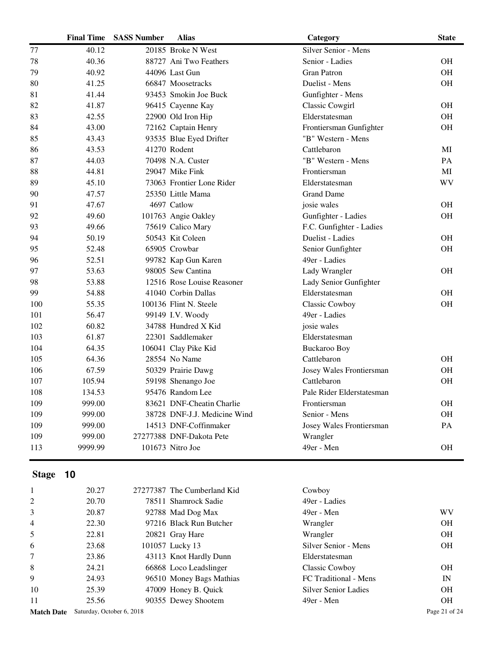|     | <b>Final Time</b> | <b>SASS Number</b> | Alias                        | Category                  | <b>State</b> |
|-----|-------------------|--------------------|------------------------------|---------------------------|--------------|
| 77  | 40.12             |                    | 20185 Broke N West           | Silver Senior - Mens      |              |
| 78  | 40.36             |                    | 88727 Ani Two Feathers       | Senior - Ladies           | <b>OH</b>    |
| 79  | 40.92             |                    | 44096 Last Gun               | <b>Gran Patron</b>        | <b>OH</b>    |
| 80  | 41.25             |                    | 66847 Moosetracks            | Duelist - Mens            | <b>OH</b>    |
| 81  | 41.44             |                    | 93453 Smokin Joe Buck        | Gunfighter - Mens         |              |
| 82  | 41.87             |                    | 96415 Cayenne Kay            | Classic Cowgirl           | <b>OH</b>    |
| 83  | 42.55             |                    | 22900 Old Iron Hip           | Elderstatesman            | <b>OH</b>    |
| 84  | 43.00             |                    | 72162 Captain Henry          | Frontiersman Gunfighter   | <b>OH</b>    |
| 85  | 43.43             |                    | 93535 Blue Eyed Drifter      | "B" Western - Mens        |              |
| 86  | 43.53             |                    | 41270 Rodent                 | Cattlebaron               | МI           |
| 87  | 44.03             |                    | 70498 N.A. Custer            | "B" Western - Mens        | PA           |
| 88  | 44.81             |                    | 29047 Mike Fink              | Frontiersman              | MI           |
| 89  | 45.10             |                    | 73063 Frontier Lone Rider    | Elderstatesman            | <b>WV</b>    |
| 90  | 47.57             |                    | 25350 Little Mama            | <b>Grand Dame</b>         |              |
| 91  | 47.67             |                    | 4697 Catlow                  | josie wales               | <b>OH</b>    |
| 92  | 49.60             |                    | 101763 Angie Oakley          | Gunfighter - Ladies       | <b>OH</b>    |
| 93  | 49.66             |                    | 75619 Calico Mary            | F.C. Gunfighter - Ladies  |              |
| 94  | 50.19             |                    | 50543 Kit Coleen             | Duelist - Ladies          | <b>OH</b>    |
| 95  | 52.48             |                    | 65905 Crowbar                | Senior Gunfighter         | <b>OH</b>    |
| 96  | 52.51             |                    | 99782 Kap Gun Karen          | 49er - Ladies             |              |
| 97  | 53.63             |                    | 98005 Sew Cantina            | Lady Wrangler             | <b>OH</b>    |
| 98  | 53.88             |                    | 12516 Rose Louise Reasoner   | Lady Senior Gunfighter    |              |
| 99  | 54.88             |                    | 41040 Corbin Dallas          | Elderstatesman            | <b>OH</b>    |
| 100 | 55.35             |                    | 100136 Flint N. Steele       | Classic Cowboy            | OH           |
| 101 | 56.47             |                    | 99149 I.V. Woody             | 49er - Ladies             |              |
| 102 | 60.82             |                    | 34788 Hundred X Kid          | josie wales               |              |
| 103 | 61.87             |                    | 22301 Saddlemaker            | Elderstatesman            |              |
| 104 | 64.35             |                    | 106041 Clay Pike Kid         | <b>Buckaroo Boy</b>       |              |
| 105 | 64.36             |                    | 28554 No Name                | Cattlebaron               | <b>OH</b>    |
| 106 | 67.59             |                    | 50329 Prairie Dawg           | Josey Wales Frontiersman  | OH           |
| 107 | 105.94            |                    | 59198 Shenango Joe           | Cattlebaron               | OH           |
| 108 | 134.53            |                    | 95476 Random Lee             | Pale Rider Elderstatesman |              |
| 109 | 999.00            |                    | 83621 DNF-Cheatin Charlie    | Frontiersman              | <b>OH</b>    |
| 109 | 999.00            |                    | 38728 DNF-J.J. Medicine Wind | Senior - Mens             | OH           |
| 109 | 999.00            |                    | 14513 DNF-Coffinmaker        | Josey Wales Frontiersman  | PA           |
| 109 | 999.00            |                    | 27277388 DNF-Dakota Pete     | Wrangler                  |              |
| 113 | 9999.99           |                    | 101673 Nitro Joe             | 49er - Men                | <b>OH</b>    |
|     |                   |                    |                              |                           |              |

| $\mathbf{1}$      | 20.27                     | 27277387 The Cumberland Kid | Cowboy                      |               |
|-------------------|---------------------------|-----------------------------|-----------------------------|---------------|
| 2                 | 20.70                     | 78511 Shamrock Sadie        | 49er - Ladies               |               |
| 3                 | 20.87                     | 92788 Mad Dog Max           | 49er - Men                  | WV            |
| $\overline{4}$    | 22.30                     | 97216 Black Run Butcher     | Wrangler                    | OН            |
| 5                 | 22.81                     | 20821 Gray Hare             | Wrangler                    | <b>OH</b>     |
| 6                 | 23.68                     | 101057 Lucky 13             | Silver Senior - Mens        | OН            |
| $\overline{7}$    | 23.86                     | 43113 Knot Hardly Dunn      | Elderstatesman              |               |
| 8                 | 24.21                     | 66868 Loco Leadslinger      | Classic Cowboy              | OН            |
| 9                 | 24.93                     | 96510 Money Bags Mathias    | FC Traditional - Mens       | IN            |
| 10                | 25.39                     | 47009 Honey B. Quick        | <b>Silver Senior Ladies</b> | OН            |
| 11                | 25.56                     | 90355 Dewey Shootem         | 49er - Men                  | OН            |
| <b>Match Date</b> | Saturday, October 6, 2018 |                             |                             | Page 21 of 24 |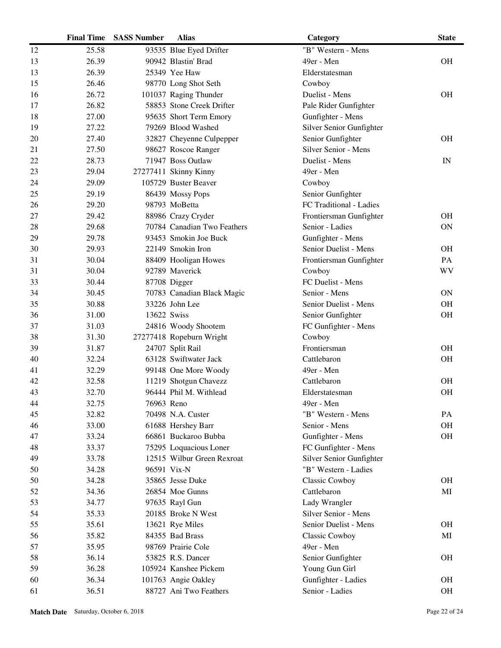|    | <b>Final Time</b> | <b>SASS Number</b> | <b>Alias</b>                | Category                 | <b>State</b> |
|----|-------------------|--------------------|-----------------------------|--------------------------|--------------|
| 12 | 25.58             |                    | 93535 Blue Eyed Drifter     | "B" Western - Mens       |              |
| 13 | 26.39             |                    | 90942 Blastin' Brad         | 49er - Men               | <b>OH</b>    |
| 13 | 26.39             |                    | 25349 Yee Haw               | Elderstatesman           |              |
| 15 | 26.46             |                    | 98770 Long Shot Seth        | Cowboy                   |              |
| 16 | 26.72             |                    | 101037 Raging Thunder       | Duelist - Mens           | <b>OH</b>    |
| 17 | 26.82             |                    | 58853 Stone Creek Drifter   | Pale Rider Gunfighter    |              |
| 18 | 27.00             |                    | 95635 Short Term Emory      | Gunfighter - Mens        |              |
| 19 | 27.22             |                    | 79269 Blood Washed          | Silver Senior Gunfighter |              |
| 20 | 27.40             |                    | 32827 Cheyenne Culpepper    | Senior Gunfighter        | <b>OH</b>    |
| 21 | 27.50             |                    | 98627 Roscoe Ranger         | Silver Senior - Mens     |              |
| 22 | 28.73             |                    | 71947 Boss Outlaw           | Duelist - Mens           | IN           |
| 23 | 29.04             |                    | 27277411 Skinny Kinny       | 49er - Men               |              |
| 24 | 29.09             |                    | 105729 Buster Beaver        | Cowboy                   |              |
| 25 | 29.19             |                    | 86439 Mossy Pops            | Senior Gunfighter        |              |
| 26 | 29.20             |                    | 98793 MoBetta               | FC Traditional - Ladies  |              |
| 27 | 29.42             |                    | 88986 Crazy Cryder          | Frontiersman Gunfighter  | <b>OH</b>    |
| 28 | 29.68             |                    | 70784 Canadian Two Feathers | Senior - Ladies          | <b>ON</b>    |
| 29 | 29.78             |                    | 93453 Smokin Joe Buck       | Gunfighter - Mens        |              |
| 30 | 29.93             |                    | 22149 Smokin Iron           | Senior Duelist - Mens    | <b>OH</b>    |
| 31 | 30.04             |                    | 88409 Hooligan Howes        | Frontiersman Gunfighter  | PA           |
| 31 | 30.04             |                    | 92789 Maverick              | Cowboy                   | WV           |
| 33 | 30.44             |                    | 87708 Digger                | FC Duelist - Mens        |              |
| 34 | 30.45             |                    | 70783 Canadian Black Magic  | Senior - Mens            | <b>ON</b>    |
| 35 | 30.88             |                    | 33226 John Lee              | Senior Duelist - Mens    | <b>OH</b>    |
| 36 | 31.00             | 13622 Swiss        |                             | Senior Gunfighter        | <b>OH</b>    |
| 37 | 31.03             |                    | 24816 Woody Shootem         | FC Gunfighter - Mens     |              |
| 38 | 31.30             |                    | 27277418 Ropeburn Wright    | Cowboy                   |              |
| 39 | 31.87             |                    | 24707 Split Rail            | Frontiersman             | <b>OH</b>    |
| 40 | 32.24             |                    | 63128 Swiftwater Jack       | Cattlebaron              | <b>OH</b>    |
| 41 | 32.29             |                    | 99148 One More Woody        | 49er - Men               |              |
| 42 | 32.58             |                    | 11219 Shotgun Chavezz       | Cattlebaron              | <b>OH</b>    |
| 43 | 32.70             |                    | 96444 Phil M. Withlead      | Elderstatesman           | <b>OH</b>    |
| 44 | 32.75             | 76963 Reno         |                             | 49er - Men               |              |
| 45 | 32.82             |                    | 70498 N.A. Custer           | "B" Western - Mens       | PA           |
| 46 | 33.00             |                    | 61688 Hershey Barr          | Senior - Mens            | <b>OH</b>    |
| 47 | 33.24             |                    | 66861 Buckaroo Bubba        | Gunfighter - Mens        | <b>OH</b>    |
| 48 | 33.37             |                    | 75295 Loquacious Loner      | FC Gunfighter - Mens     |              |
| 49 | 33.78             |                    | 12515 Wilbur Green Rexroat  | Silver Senior Gunfighter |              |
| 50 | 34.28             |                    | 96591 Vix-N                 | "B" Western - Ladies     |              |
| 50 | 34.28             |                    | 35865 Jesse Duke            | Classic Cowboy           | <b>OH</b>    |
| 52 | 34.36             |                    | 26854 Moe Gunns             | Cattlebaron              | MI           |
| 53 | 34.77             |                    | 97635 Rayl Gun              | Lady Wrangler            |              |
| 54 | 35.33             |                    | 20185 Broke N West          | Silver Senior - Mens     |              |
| 55 | 35.61             |                    | 13621 Rye Miles             | Senior Duelist - Mens    | <b>OH</b>    |
| 56 | 35.82             |                    | 84355 Bad Brass             | <b>Classic Cowboy</b>    | MI           |
| 57 | 35.95             |                    | 98769 Prairie Cole          | 49er - Men               |              |
| 58 | 36.14             |                    | 53825 R.S. Dancer           | Senior Gunfighter        | <b>OH</b>    |
| 59 | 36.28             |                    | 105924 Kanshee Pickem       | Young Gun Girl           |              |
| 60 | 36.34             |                    | 101763 Angie Oakley         | Gunfighter - Ladies      | <b>OH</b>    |
| 61 | 36.51             |                    | 88727 Ani Two Feathers      | Senior - Ladies          | OH           |
|    |                   |                    |                             |                          |              |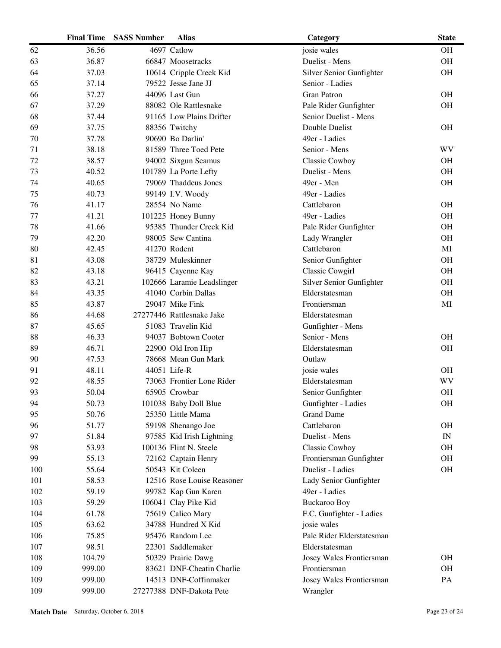|     | <b>Final Time</b> | <b>SASS Number</b> | <b>Alias</b>               | Category                  | <b>State</b>             |
|-----|-------------------|--------------------|----------------------------|---------------------------|--------------------------|
| 62  | 36.56             |                    | 4697 Catlow                | josie wales               | <b>OH</b>                |
| 63  | 36.87             |                    | 66847 Moosetracks          | Duelist - Mens            | <b>OH</b>                |
| 64  | 37.03             |                    | 10614 Cripple Creek Kid    | Silver Senior Gunfighter  | <b>OH</b>                |
| 65  | 37.14             |                    | 79522 Jesse Jane JJ        | Senior - Ladies           |                          |
| 66  | 37.27             |                    | 44096 Last Gun             | <b>Gran Patron</b>        | <b>OH</b>                |
| 67  | 37.29             |                    | 88082 Ole Rattlesnake      | Pale Rider Gunfighter     | OH                       |
| 68  | 37.44             |                    | 91165 Low Plains Drifter   | Senior Duelist - Mens     |                          |
| 69  | 37.75             |                    | 88356 Twitchy              | Double Duelist            | <b>OH</b>                |
| 70  | 37.78             |                    | 90690 Bo Darlin'           | 49er - Ladies             |                          |
| 71  | 38.18             |                    | 81589 Three Toed Pete      | Senior - Mens             | WV                       |
| 72  | 38.57             |                    | 94002 Sixgun Seamus        | Classic Cowboy            | <b>OH</b>                |
| 73  | 40.52             |                    | 101789 La Porte Lefty      | Duelist - Mens            | <b>OH</b>                |
| 74  | 40.65             |                    | 79069 Thaddeus Jones       | 49er - Men                | <b>OH</b>                |
| 75  | 40.73             |                    | 99149 I.V. Woody           | 49er - Ladies             |                          |
| 76  | 41.17             |                    | 28554 No Name              | Cattlebaron               | <b>OH</b>                |
| 77  | 41.21             |                    | 101225 Honey Bunny         | 49er - Ladies             | <b>OH</b>                |
| 78  | 41.66             |                    | 95385 Thunder Creek Kid    | Pale Rider Gunfighter     | <b>OH</b>                |
| 79  | 42.20             |                    | 98005 Sew Cantina          | Lady Wrangler             | <b>OH</b>                |
| 80  | 42.45             |                    | 41270 Rodent               | Cattlebaron               | MI                       |
| 81  | 43.08             |                    | 38729 Muleskinner          | Senior Gunfighter         | <b>OH</b>                |
| 82  | 43.18             |                    | 96415 Cayenne Kay          | Classic Cowgirl           | <b>OH</b>                |
| 83  | 43.21             |                    | 102666 Laramie Leadslinger | Silver Senior Gunfighter  | <b>OH</b>                |
| 84  | 43.35             |                    | 41040 Corbin Dallas        | Elderstatesman            | <b>OH</b>                |
| 85  | 43.87             |                    | 29047 Mike Fink            | Frontiersman              | MI                       |
| 86  | 44.68             |                    | 27277446 Rattlesnake Jake  | Elderstatesman            |                          |
| 87  | 45.65             |                    | 51083 Travelin Kid         | Gunfighter - Mens         |                          |
| 88  | 46.33             |                    | 94037 Bobtown Cooter       | Senior - Mens             | <b>OH</b>                |
| 89  | 46.71             |                    | 22900 Old Iron Hip         | Elderstatesman            | <b>OH</b>                |
| 90  | 47.53             |                    | 78668 Mean Gun Mark        | Outlaw                    |                          |
| 91  | 48.11             |                    | 44051 Life-R               | josie wales               | <b>OH</b>                |
| 92  | 48.55             |                    | 73063 Frontier Lone Rider  | Elderstatesman            | WV                       |
| 93  | 50.04             |                    | 65905 Crowbar              | Senior Gunfighter         | <b>OH</b>                |
| 94  | 50.73             |                    | 101038 Baby Doll Blue      | Gunfighter - Ladies       | OH                       |
| 95  | 50.76             |                    | 25350 Little Mama          | <b>Grand Dame</b>         |                          |
| 96  | 51.77             |                    | 59198 Shenango Joe         | Cattlebaron               | <b>OH</b>                |
| 97  | 51.84             |                    | 97585 Kid Irish Lightning  | Duelist - Mens            | $\ensuremath{\text{IN}}$ |
| 98  | 53.93             |                    | 100136 Flint N. Steele     | Classic Cowboy            | <b>OH</b>                |
| 99  | 55.13             |                    | 72162 Captain Henry        | Frontiersman Gunfighter   | <b>OH</b>                |
| 100 | 55.64             |                    | 50543 Kit Coleen           | Duelist - Ladies          | <b>OH</b>                |
| 101 | 58.53             |                    | 12516 Rose Louise Reasoner | Lady Senior Gunfighter    |                          |
| 102 | 59.19             |                    | 99782 Kap Gun Karen        | 49er - Ladies             |                          |
| 103 | 59.29             |                    | 106041 Clay Pike Kid       | <b>Buckaroo Boy</b>       |                          |
| 104 | 61.78             |                    | 75619 Calico Mary          | F.C. Gunfighter - Ladies  |                          |
| 105 | 63.62             |                    | 34788 Hundred X Kid        | josie wales               |                          |
| 106 | 75.85             |                    | 95476 Random Lee           | Pale Rider Elderstatesman |                          |
| 107 | 98.51             |                    | 22301 Saddlemaker          | Elderstatesman            |                          |
| 108 | 104.79            |                    | 50329 Prairie Dawg         | Josey Wales Frontiersman  | <b>OH</b>                |
| 109 | 999.00            |                    | 83621 DNF-Cheatin Charlie  | Frontiersman              | <b>OH</b>                |
| 109 | 999.00            |                    | 14513 DNF-Coffinmaker      | Josey Wales Frontiersman  | PA                       |
| 109 | 999.00            |                    | 27277388 DNF-Dakota Pete   | Wrangler                  |                          |